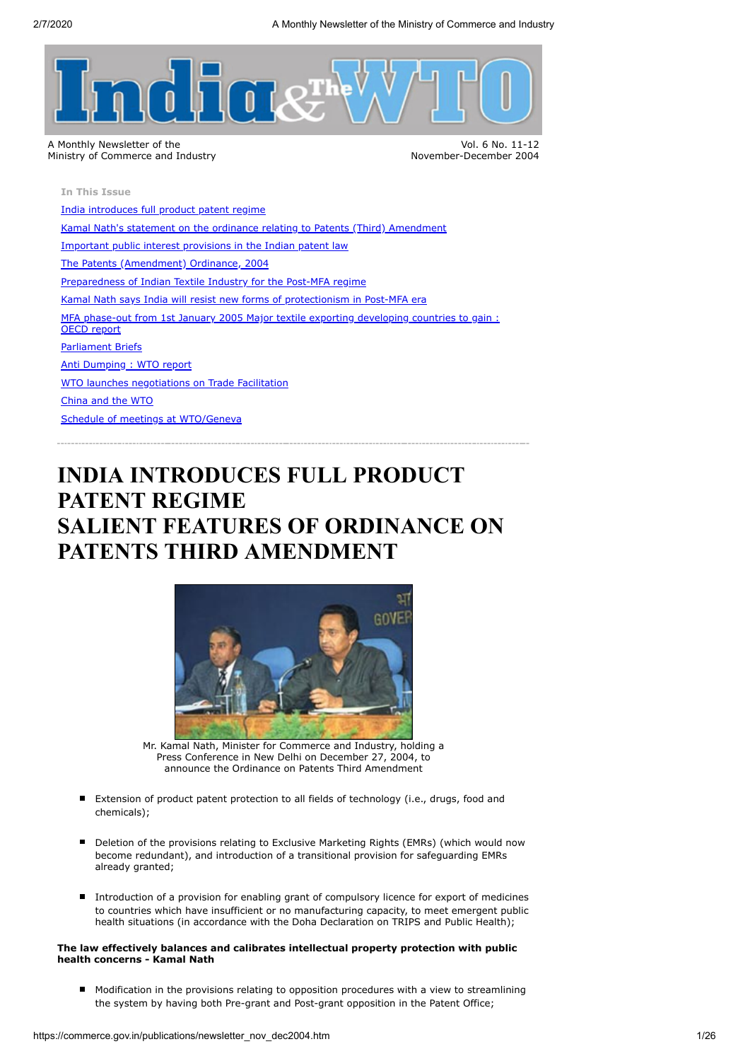

Vol. 6 No. 11-12 November-December 2004

**In This Issue**

[India introduces full product patent regime](#page-0-0) [Kamal Nath's statement on the ordinance relating to Patents \(Third\) Amendment](#page-1-0) [Important public interest provisions in the Indian patent law](#page-2-0) [The Patents \(Amendment\) Ordinance, 2004](#page-3-0) [Preparedness of Indian Textile Industry for the Post-MFA regime](#page-16-0) [Kamal Nath says India will resist new forms of protectionism in Post-MFA era](#page-16-1) [MFA phase-out from 1st January 2005 Major textile exporting developing countries to gain :](#page-17-0) OECD report [Parliament Briefs](#page-18-0) [Anti Dumping : WTO report](#page-20-0) [WTO launches negotiations on Trade Facilitation](#page-21-0) [China and the WTO](#page-22-0) [Schedule of meetings at WTO/Geneva](#page-24-0)

# <span id="page-0-0"></span>**INDIA INTRODUCES FULL PRODUCT PATENT REGIME SALIENT FEATURES OF ORDINANCE ON PATENTS THIRD AMENDMENT**



Mr. Kamal Nath, Minister for Commerce and Industry, holding a Press Conference in New Delhi on December 27, 2004, to announce the Ordinance on Patents Third Amendment

- Extension of product patent protection to all fields of technology (i.e., drugs, food and chemicals);
- Deletion of the provisions relating to Exclusive Marketing Rights (EMRs) (which would now become redundant), and introduction of a transitional provision for safeguarding EMRs already granted;
- Introduction of a provision for enabling grant of compulsory licence for export of medicines to countries which have insufficient or no manufacturing capacity, to meet emergent public health situations (in accordance with the Doha Declaration on TRIPS and Public Health);

## **The law effectively balances and calibrates intellectual property protection with public health concerns - Kamal Nath**

Modification in the provisions relating to opposition procedures with a view to streamlining the system by having both Pre-grant and Post-grant opposition in the Patent Office;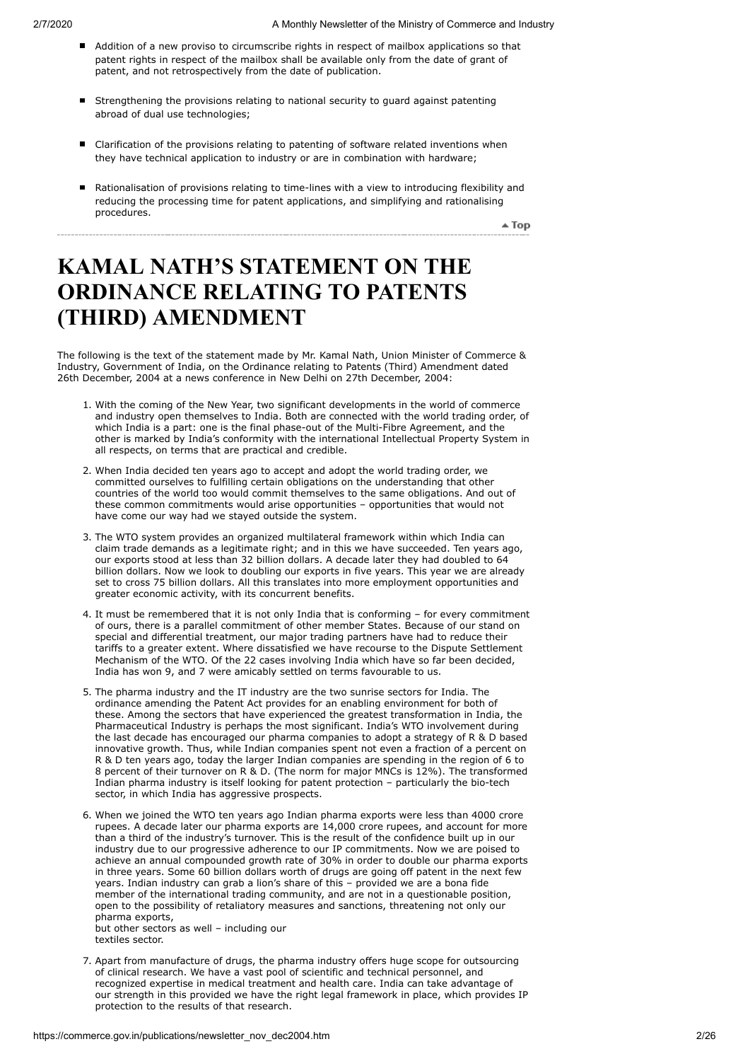- Addition of a new proviso to circumscribe rights in respect of mailbox applications so that patent rights in respect of the mailbox shall be available only from the date of grant of patent, and not retrospectively from the date of publication.
- Strengthening the provisions relating to national security to guard against patenting abroad of dual use technologies;
- Clarification of the provisions relating to patenting of software related inventions when they have technical application to industry or are in combination with hardware;
- Rationalisation of provisions relating to time-lines with a view to introducing flexibility and reducing the processing time for patent applications, and simplifying and rationalising procedures.

 $\triangle$  Top

# <span id="page-1-0"></span>**KAMAL NATH'S STATEMENT ON THE ORDINANCE RELATING TO PATENTS (THIRD) AMENDMENT**

The following is the text of the statement made by Mr. Kamal Nath, Union Minister of Commerce & Industry, Government of India, on the Ordinance relating to Patents (Third) Amendment dated 26th December, 2004 at a news conference in New Delhi on 27th December, 2004:

- 1. With the coming of the New Year, two significant developments in the world of commerce and industry open themselves to India. Both are connected with the world trading order, of which India is a part: one is the final phase-out of the Multi-Fibre Agreement, and the other is marked by India's conformity with the international Intellectual Property System in all respects, on terms that are practical and credible.
- 2. When India decided ten years ago to accept and adopt the world trading order, we committed ourselves to fulfilling certain obligations on the understanding that other countries of the world too would commit themselves to the same obligations. And out of these common commitments would arise opportunities – opportunities that would not have come our way had we stayed outside the system.
- 3. The WTO system provides an organized multilateral framework within which India can claim trade demands as a legitimate right; and in this we have succeeded. Ten years ago, our exports stood at less than 32 billion dollars. A decade later they had doubled to 64 billion dollars. Now we look to doubling our exports in five years. This year we are already set to cross 75 billion dollars. All this translates into more employment opportunities and greater economic activity, with its concurrent benefits.
- 4. It must be remembered that it is not only India that is conforming for every commitment of ours, there is a parallel commitment of other member States. Because of our stand on special and differential treatment, our major trading partners have had to reduce their tariffs to a greater extent. Where dissatisfied we have recourse to the Dispute Settlement Mechanism of the WTO. Of the 22 cases involving India which have so far been decided, India has won 9, and 7 were amicably settled on terms favourable to us.
- 5. The pharma industry and the IT industry are the two sunrise sectors for India. The ordinance amending the Patent Act provides for an enabling environment for both of these. Among the sectors that have experienced the greatest transformation in India, the Pharmaceutical Industry is perhaps the most significant. India's WTO involvement during the last decade has encouraged our pharma companies to adopt a strategy of R & D based innovative growth. Thus, while Indian companies spent not even a fraction of a percent on R & D ten years ago, today the larger Indian companies are spending in the region of 6 to 8 percent of their turnover on R & D. (The norm for major MNCs is 12%). The transformed Indian pharma industry is itself looking for patent protection – particularly the bio-tech sector, in which India has aggressive prospects.
- 6. When we joined the WTO ten years ago Indian pharma exports were less than 4000 crore rupees. A decade later our pharma exports are 14,000 crore rupees, and account for more than a third of the industry's turnover. This is the result of the confidence built up in our industry due to our progressive adherence to our IP commitments. Now we are poised to achieve an annual compounded growth rate of 30% in order to double our pharma exports in three years. Some 60 billion dollars worth of drugs are going off patent in the next few years. Indian industry can grab a lion's share of this – provided we are a bona fide member of the international trading community, and are not in a questionable position, open to the possibility of retaliatory measures and sanctions, threatening not only our pharma exports,

but other sectors as well – including our textiles sector.

7. Apart from manufacture of drugs, the pharma industry offers huge scope for outsourcing of clinical research. We have a vast pool of scientific and technical personnel, and recognized expertise in medical treatment and health care. India can take advantage of our strength in this provided we have the right legal framework in place, which provides IP protection to the results of that research.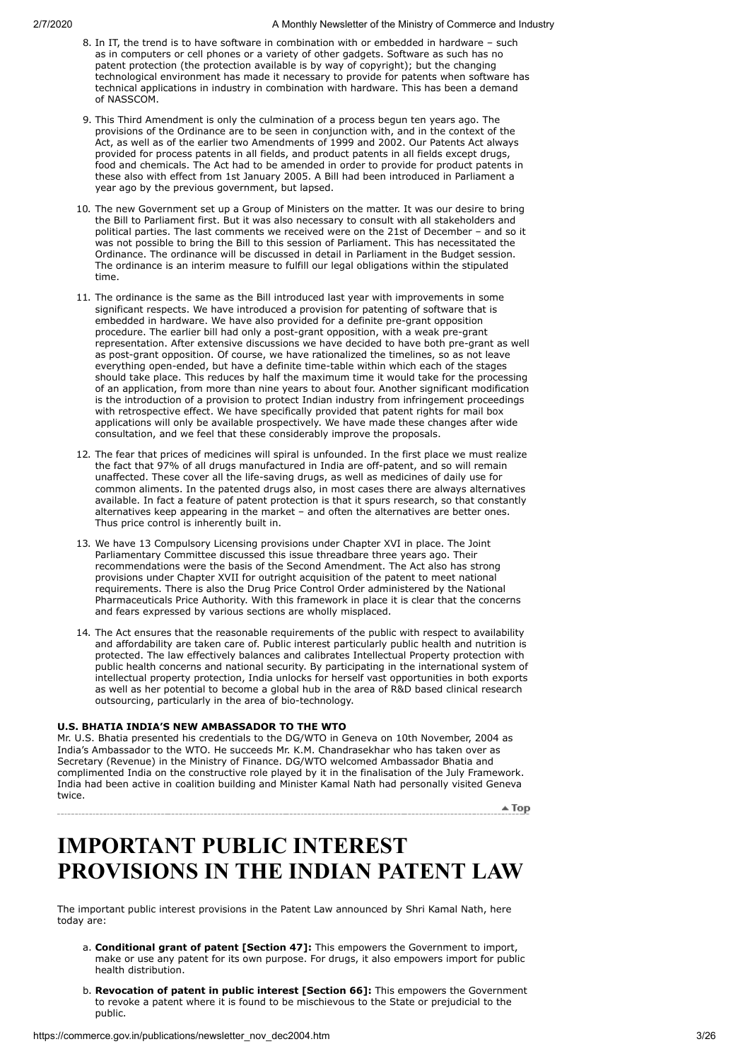- 8. In IT, the trend is to have software in combination with or embedded in hardware such as in computers or cell phones or a variety of other gadgets. Software as such has no patent protection (the protection available is by way of copyright); but the changing technological environment has made it necessary to provide for patents when software has technical applications in industry in combination with hardware. This has been a demand of NASSCOM.
- 9. This Third Amendment is only the culmination of a process begun ten years ago. The provisions of the Ordinance are to be seen in conjunction with, and in the context of the Act, as well as of the earlier two Amendments of 1999 and 2002. Our Patents Act always provided for process patents in all fields, and product patents in all fields except drugs, food and chemicals. The Act had to be amended in order to provide for product patents in these also with effect from 1st January 2005. A Bill had been introduced in Parliament a year ago by the previous government, but lapsed.
- 10. The new Government set up a Group of Ministers on the matter. It was our desire to bring the Bill to Parliament first. But it was also necessary to consult with all stakeholders and political parties. The last comments we received were on the 21st of December – and so it was not possible to bring the Bill to this session of Parliament. This has necessitated the Ordinance. The ordinance will be discussed in detail in Parliament in the Budget session. The ordinance is an interim measure to fulfill our legal obligations within the stipulated time.
- 11. The ordinance is the same as the Bill introduced last year with improvements in some significant respects. We have introduced a provision for patenting of software that is embedded in hardware. We have also provided for a definite pre-grant opposition procedure. The earlier bill had only a post-grant opposition, with a weak pre-grant representation. After extensive discussions we have decided to have both pre-grant as well as post-grant opposition. Of course, we have rationalized the timelines, so as not leave everything open-ended, but have a definite time-table within which each of the stages should take place. This reduces by half the maximum time it would take for the processing of an application, from more than nine years to about four. Another significant modification is the introduction of a provision to protect Indian industry from infringement proceedings with retrospective effect. We have specifically provided that patent rights for mail box applications will only be available prospectively. We have made these changes after wide consultation, and we feel that these considerably improve the proposals.
- 12. The fear that prices of medicines will spiral is unfounded. In the first place we must realize the fact that 97% of all drugs manufactured in India are off-patent, and so will remain unaffected. These cover all the life-saving drugs, as well as medicines of daily use for common aliments. In the patented drugs also, in most cases there are always alternatives available. In fact a feature of patent protection is that it spurs research, so that constantly alternatives keep appearing in the market – and often the alternatives are better ones. Thus price control is inherently built in.
- 13. We have 13 Compulsory Licensing provisions under Chapter XVI in place. The Joint Parliamentary Committee discussed this issue threadbare three years ago. Their recommendations were the basis of the Second Amendment. The Act also has strong provisions under Chapter XVII for outright acquisition of the patent to meet national requirements. There is also the Drug Price Control Order administered by the National Pharmaceuticals Price Authority. With this framework in place it is clear that the concerns and fears expressed by various sections are wholly misplaced.
- 14. The Act ensures that the reasonable requirements of the public with respect to availability and affordability are taken care of. Public interest particularly public health and nutrition is protected. The law effectively balances and calibrates Intellectual Property protection with public health concerns and national security. By participating in the international system of intellectual property protection, India unlocks for herself vast opportunities in both exports as well as her potential to become a global hub in the area of R&D based clinical research outsourcing, particularly in the area of bio-technology.

## **U.S. BHATIA INDIA'S NEW AMBASSADOR TO THE WTO**

Mr. U.S. Bhatia presented his credentials to the DG/WTO in Geneva on 10th November, 2004 as India's Ambassador to the WTO. He succeeds Mr. K.M. Chandrasekhar who has taken over as Secretary (Revenue) in the Ministry of Finance. DG/WTO welcomed Ambassador Bhatia and complimented India on the constructive role played by it in the finalisation of the July Framework. India had been active in coalition building and Minister Kamal Nath had personally visited Geneva twice.

# <span id="page-2-0"></span>**IMPORTANT PUBLIC INTEREST PROVISIONS IN THE INDIAN PATENT LAW**

The important public interest provisions in the Patent Law announced by Shri Kamal Nath, here today are:

- a. **Conditional grant of patent [Section 47]:** This empowers the Government to import, make or use any patent for its own purpose. For drugs, it also empowers import for public health distribution.
- b. **Revocation of patent in public interest [Section 66]:** This empowers the Government to revoke a patent where it is found to be mischievous to the State or prejudicial to the public.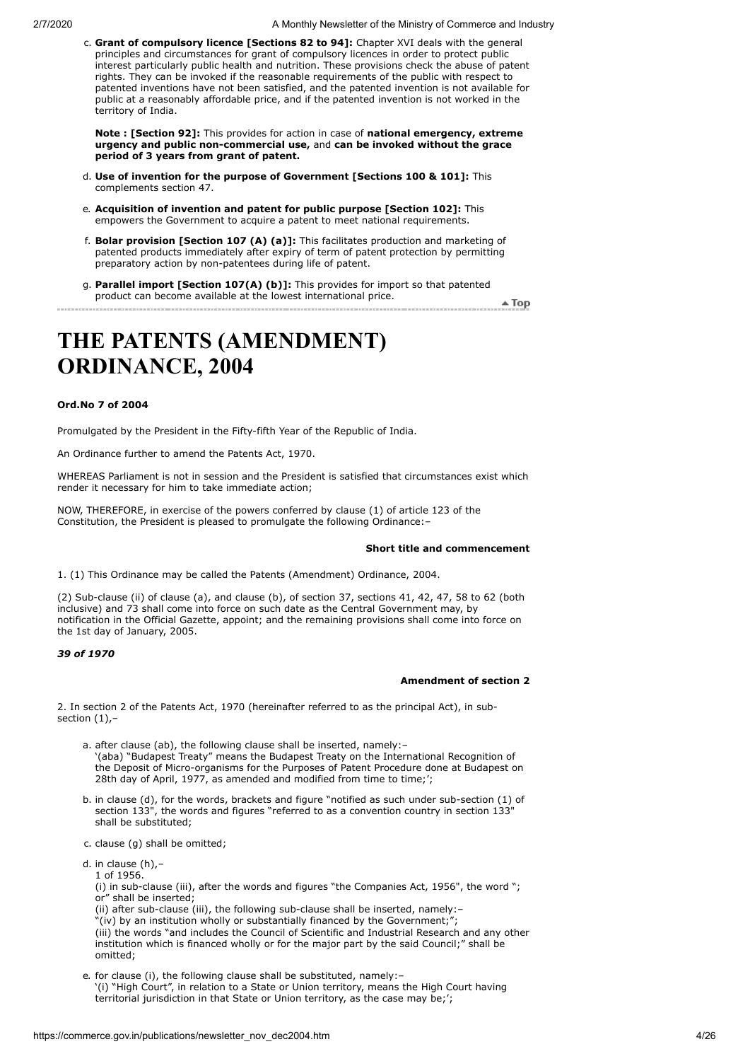c. **Grant of compulsory licence [Sections 82 to 94]:** Chapter XVI deals with the general principles and circumstances for grant of compulsory licences in order to protect public interest particularly public health and nutrition. These provisions check the abuse of patent rights. They can be invoked if the reasonable requirements of the public with respect to patented inventions have not been satisfied, and the patented invention is not available for public at a reasonably affordable price, and if the patented invention is not worked in the territory of India.

**Note : [Section 92]:** This provides for action in case of **national emergency, extreme urgency and public non-commercial use,** and **can be invoked without the grace period of 3 years from grant of patent.**

- d. **Use of invention for the purpose of Government [Sections 100 & 101]:** This complements section 47.
- e. **Acquisition of invention and patent for public purpose [Section 102]:** This empowers the Government to acquire a patent to meet national requirements.
- f. **Bolar provision [Section 107 (A) (a)]:** This facilitates production and marketing of patented products immediately after expiry of term of patent protection by permitting preparatory action by non-patentees during life of patent.
- g. **Parallel import [Section 107(A) (b)]:** This provides for import so that patented product can become available at the lowest international price. —————————<del>▲ Top</del>

## <span id="page-3-0"></span>**THE PATENTS (AMENDMENT) ORDINANCE, 2004**

## **Ord.No 7 of 2004**

Promulgated by the President in the Fifty-fifth Year of the Republic of India.

An Ordinance further to amend the Patents Act, 1970.

WHEREAS Parliament is not in session and the President is satisfied that circumstances exist which render it necessary for him to take immediate action;

NOW, THEREFORE, in exercise of the powers conferred by clause (1) of article 123 of the Constitution, the President is pleased to promulgate the following Ordinance:–

## **Short title and commencement**

1. (1) This Ordinance may be called the Patents (Amendment) Ordinance, 2004.

(2) Sub-clause (ii) of clause (a), and clause (b), of section 37, sections 41, 42, 47, 58 to 62 (both inclusive) and 73 shall come into force on such date as the Central Government may, by notification in the Official Gazette, appoint; and the remaining provisions shall come into force on the 1st day of January, 2005.

## *39 of 1970*

## **Amendment of section 2**

2. In section 2 of the Patents Act, 1970 (hereinafter referred to as the principal Act), in subsection  $(1)$ .

- a. after clause (ab), the following clause shall be inserted, namely:– '(aba) "Budapest Treaty" means the Budapest Treaty on the International Recognition of the Deposit of Micro-organisms for the Purposes of Patent Procedure done at Budapest on 28th day of April, 1977, as amended and modified from time to time;';
- b. in clause (d), for the words, brackets and figure "notified as such under sub-section (1) of section 133", the words and figures "referred to as a convention country in section 133" shall be substituted;
- c. clause (g) shall be omitted;
- d. in clause (h),– 1 of 1956.
	- (i) in sub-clause (iii), after the words and figures "the Companies Act, 1956", the word "; or" shall be inserted;
	- (ii) after sub-clause (iii), the following sub-clause shall be inserted, namely:–
	- "(iv) by an institution wholly or substantially financed by the Government;<sup>"</sup>

(iii) the words "and includes the Council of Scientific and Industrial Research and any other institution which is financed wholly or for the major part by the said Council;" shall be omitted;

e. for clause (i), the following clause shall be substituted, namely:– '(i) "High Court", in relation to a State or Union territory, means the High Court having territorial jurisdiction in that State or Union territory, as the case may be;';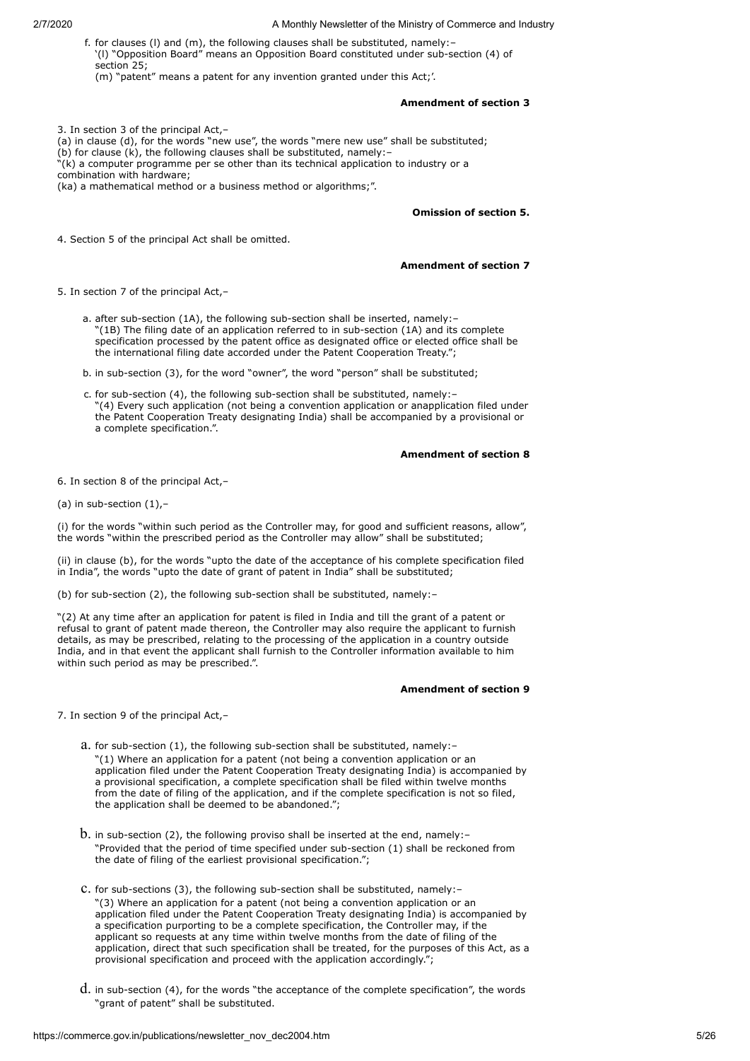f. for clauses (l) and (m), the following clauses shall be substituted, namely:– '(l) "Opposition Board" means an Opposition Board constituted under sub-section (4) of section 25; (m) "patent" means a patent for any invention granted under this Act;'.

## **Amendment of section 3**

3. In section 3 of the principal Act,– (a) in clause (d), for the words "new use", the words "mere new use" shall be substituted; (b) for clause  $(k)$ , the following clauses shall be substituted, namely:-"(k) a computer programme per se other than its technical application to industry or a combination with hardware; (ka) a mathematical method or a business method or algorithms;".

**Omission of section 5.**

4. Section 5 of the principal Act shall be omitted.

#### **Amendment of section 7**

5. In section 7 of the principal Act,–

a. after sub-section (1A), the following sub-section shall be inserted, namely:– "(1B) The filing date of an application referred to in sub-section (1A) and its complete specification processed by the patent office as designated office or elected office shall be the international filing date accorded under the Patent Cooperation Treaty.";

b. in sub-section (3), for the word "owner", the word "person" shall be substituted;

c. for sub-section (4), the following sub-section shall be substituted, namely:– "(4) Every such application (not being a convention application or anapplication filed under the Patent Cooperation Treaty designating India) shall be accompanied by a provisional or a complete specification.".

**Amendment of section 8**

6. In section 8 of the principal Act,–

(a) in sub-section  $(1)$ ,-

(i) for the words "within such period as the Controller may, for good and sufficient reasons, allow", the words "within the prescribed period as the Controller may allow" shall be substituted;

(ii) in clause (b), for the words "upto the date of the acceptance of his complete specification filed in India", the words "upto the date of grant of patent in India" shall be substituted;

(b) for sub-section (2), the following sub-section shall be substituted, namely:–

"(2) At any time after an application for patent is filed in India and till the grant of a patent or refusal to grant of patent made thereon, the Controller may also require the applicant to furnish details, as may be prescribed, relating to the processing of the application in a country outside India, and in that event the applicant shall furnish to the Controller information available to him within such period as may be prescribed.".

#### **Amendment of section 9**

7. In section 9 of the principal Act,–

- a. for sub-section (1), the following sub-section shall be substituted, namely:– "(1) Where an application for a patent (not being a convention application or an application filed under the Patent Cooperation Treaty designating India) is accompanied by a provisional specification, a complete specification shall be filed within twelve months from the date of filing of the application, and if the complete specification is not so filed, the application shall be deemed to be abandoned.";
- $b.$  in sub-section (2), the following proviso shall be inserted at the end, namely:-"Provided that the period of time specified under sub-section (1) shall be reckoned from the date of filing of the earliest provisional specification.";
- c. for sub-sections (3), the following sub-section shall be substituted, namely:– "(3) Where an application for a patent (not being a convention application or an application filed under the Patent Cooperation Treaty designating India) is accompanied by a specification purporting to be a complete specification, the Controller may, if the applicant so requests at any time within twelve months from the date of filing of the application, direct that such specification shall be treated, for the purposes of this Act, as a provisional specification and proceed with the application accordingly.";
- d. in sub-section (4), for the words "the acceptance of the complete specification", the words "grant of patent" shall be substituted.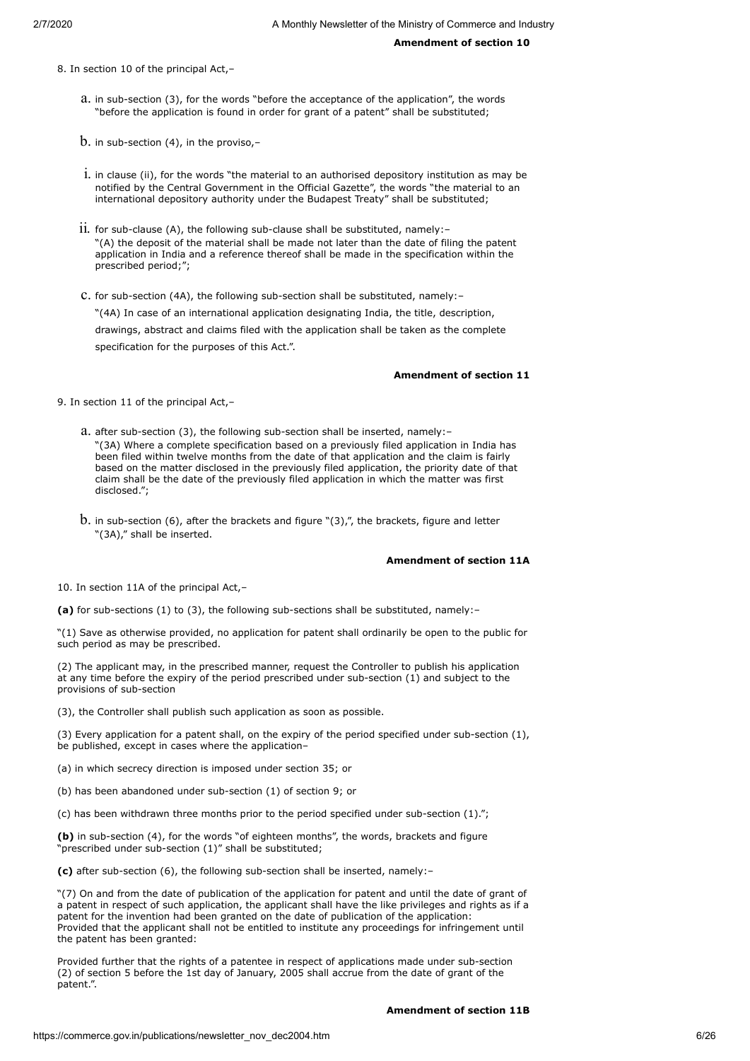8. In section 10 of the principal Act,–

- a. in sub-section (3), for the words "before the acceptance of the application", the words "before the application is found in order for grant of a patent" shall be substituted;
- $b.$  in sub-section (4), in the proviso,-
- i. in clause (ii), for the words "the material to an authorised depository institution as may be notified by the Central Government in the Official Gazette", the words "the material to an international depository authority under the Budapest Treaty" shall be substituted;
- ii. for sub-clause  $(A)$ , the following sub-clause shall be substituted, namely: -"(A) the deposit of the material shall be made not later than the date of filing the patent application in India and a reference thereof shall be made in the specification within the prescribed period;";
- c. for sub-section (4A), the following sub-section shall be substituted, namely:– "(4A) In case of an international application designating India, the title, description, drawings, abstract and claims filed with the application shall be taken as the complete specification for the purposes of this Act.".

#### **Amendment of section 11**

9. In section 11 of the principal Act,–

- a. after sub-section (3), the following sub-section shall be inserted, namely:– "(3A) Where a complete specification based on a previously filed application in India has been filed within twelve months from the date of that application and the claim is fairly based on the matter disclosed in the previously filed application, the priority date of that claim shall be the date of the previously filed application in which the matter was first disclosed.";
- b. in sub-section (6), after the brackets and figure "(3),", the brackets, figure and letter "(3A)," shall be inserted.

## **Amendment of section 11A**

10. In section 11A of the principal Act,–

**(a)** for sub-sections (1) to (3), the following sub-sections shall be substituted, namely:–

"(1) Save as otherwise provided, no application for patent shall ordinarily be open to the public for such period as may be prescribed.

(2) The applicant may, in the prescribed manner, request the Controller to publish his application at any time before the expiry of the period prescribed under sub-section (1) and subject to the provisions of sub-section

(3), the Controller shall publish such application as soon as possible.

(3) Every application for a patent shall, on the expiry of the period specified under sub-section (1), be published, except in cases where the application–

- (a) in which secrecy direction is imposed under section 35; or
- (b) has been abandoned under sub-section (1) of section 9; or
- (c) has been withdrawn three months prior to the period specified under sub-section (1).";

**(b)** in sub-section (4), for the words "of eighteen months", the words, brackets and figure prescribed under sub-section (1)" shall be substituted;

**(c)** after sub-section (6), the following sub-section shall be inserted, namely:–

"(7) On and from the date of publication of the application for patent and until the date of grant of a patent in respect of such application, the applicant shall have the like privileges and rights as if a patent for the invention had been granted on the date of publication of the application: Provided that the applicant shall not be entitled to institute any proceedings for infringement until the patent has been granted:

Provided further that the rights of a patentee in respect of applications made under sub-section (2) of section 5 before the 1st day of January, 2005 shall accrue from the date of grant of the patent.".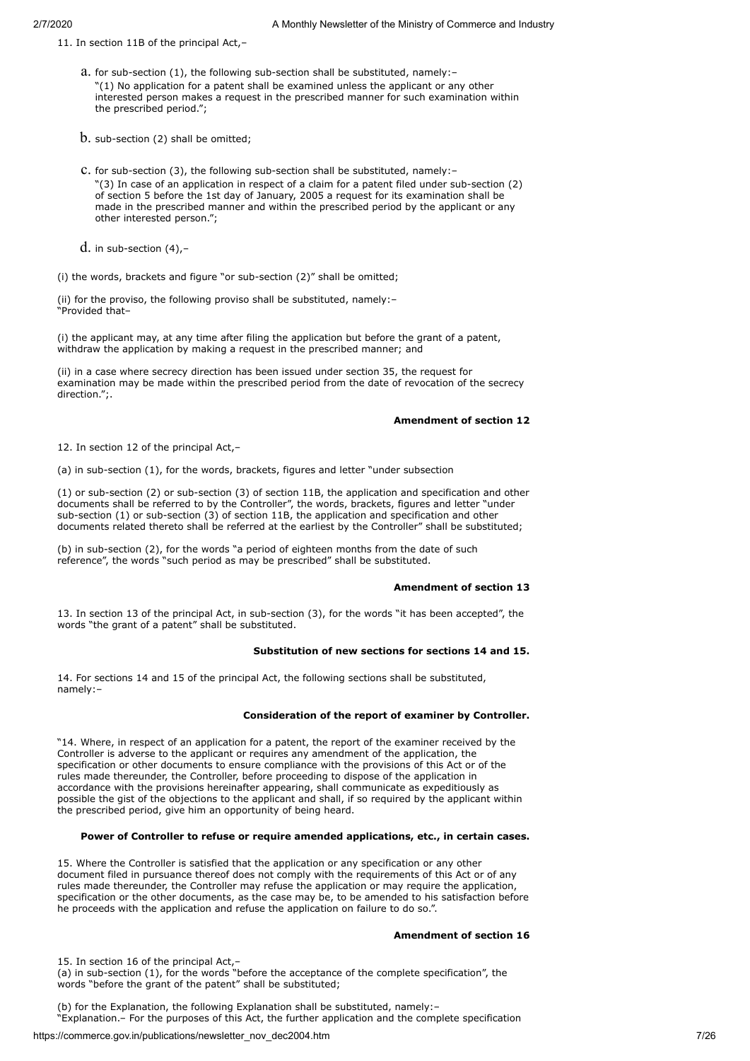11. In section 11B of the principal Act,–

- a. for sub-section (1), the following sub-section shall be substituted, namely:– "(1) No application for a patent shall be examined unless the applicant or any other interested person makes a request in the prescribed manner for such examination within the prescribed period.";
- $b.$  sub-section (2) shall be omitted;
- c. for sub-section (3), the following sub-section shall be substituted, namely:– "(3) In case of an application in respect of a claim for a patent filed under sub-section (2) of section 5 before the 1st day of January, 2005 a request for its examination shall be made in the prescribed manner and within the prescribed period by the applicant or any other interested person.";
- $d.$  in sub-section  $(4)$ ,-

(i) the words, brackets and figure "or sub-section (2)" shall be omitted;

(ii) for the proviso, the following proviso shall be substituted, namely:– "Provided that–

(i) the applicant may, at any time after filing the application but before the grant of a patent, withdraw the application by making a request in the prescribed manner; and

(ii) in a case where secrecy direction has been issued under section 35, the request for examination may be made within the prescribed period from the date of revocation of the secrecy direction.";.

## **Amendment of section 12**

12. In section 12 of the principal Act,–

(a) in sub-section (1), for the words, brackets, figures and letter "under subsection

(1) or sub-section (2) or sub-section (3) of section 11B, the application and specification and other documents shall be referred to by the Controller", the words, brackets, figures and letter "under sub-section (1) or sub-section (3) of section 11B, the application and specification and other documents related thereto shall be referred at the earliest by the Controller" shall be substituted;

(b) in sub-section (2), for the words "a period of eighteen months from the date of such reference", the words "such period as may be prescribed" shall be substituted.

## **Amendment of section 13**

13. In section 13 of the principal Act, in sub-section (3), for the words "it has been accepted", the words "the grant of a patent" shall be substituted.

## **Substitution of new sections for sections 14 and 15.**

14. For sections 14 and 15 of the principal Act, the following sections shall be substituted, namely:–

## **Consideration of the report of examiner by Controller.**

"14. Where, in respect of an application for a patent, the report of the examiner received by the Controller is adverse to the applicant or requires any amendment of the application, the specification or other documents to ensure compliance with the provisions of this Act or of the rules made thereunder, the Controller, before proceeding to dispose of the application in accordance with the provisions hereinafter appearing, shall communicate as expeditiously as possible the gist of the objections to the applicant and shall, if so required by the applicant within the prescribed period, give him an opportunity of being heard.

## **Power of Controller to refuse or require amended applications, etc., in certain cases.**

15. Where the Controller is satisfied that the application or any specification or any other document filed in pursuance thereof does not comply with the requirements of this Act or of any rules made thereunder, the Controller may refuse the application or may require the application, specification or the other documents, as the case may be, to be amended to his satisfaction before he proceeds with the application and refuse the application on failure to do so.".

## **Amendment of section 16**

15. In section 16 of the principal Act,–

(a) in sub-section (1), for the words "before the acceptance of the complete specification", the words "before the grant of the patent" shall be substituted;

(b) for the Explanation, the following Explanation shall be substituted, namely:– "Explanation.– For the purposes of this Act, the further application and the complete specification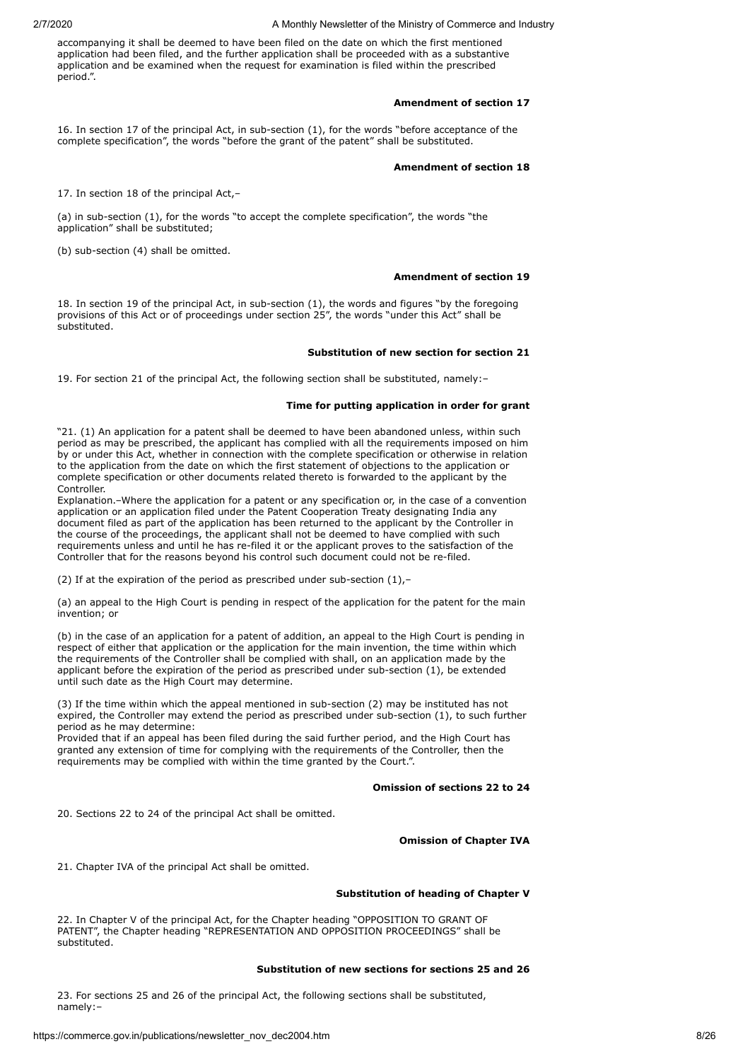accompanying it shall be deemed to have been filed on the date on which the first mentioned application had been filed, and the further application shall be proceeded with as a substantive application and be examined when the request for examination is filed within the prescribed period.".

## **Amendment of section 17**

16. In section 17 of the principal Act, in sub-section (1), for the words "before acceptance of the complete specification", the words "before the grant of the patent" shall be substituted.

#### **Amendment of section 18**

17. In section 18 of the principal Act,–

(a) in sub-section (1), for the words "to accept the complete specification", the words "the application" shall be substituted;

(b) sub-section (4) shall be omitted.

#### **Amendment of section 19**

18. In section 19 of the principal Act, in sub-section (1), the words and figures "by the foregoing provisions of this Act or of proceedings under section 25", the words "under this Act" shall be .<br>substituted.

#### **Substitution of new section for section 21**

19. For section 21 of the principal Act, the following section shall be substituted, namely:–

## **Time for putting application in order for grant**

"21. (1) An application for a patent shall be deemed to have been abandoned unless, within such period as may be prescribed, the applicant has complied with all the requirements imposed on him by or under this Act, whether in connection with the complete specification or otherwise in relation to the application from the date on which the first statement of objections to the application or complete specification or other documents related thereto is forwarded to the applicant by the Controller.

Explanation.–Where the application for a patent or any specification or, in the case of a convention application or an application filed under the Patent Cooperation Treaty designating India any document filed as part of the application has been returned to the applicant by the Controller in the course of the proceedings, the applicant shall not be deemed to have complied with such requirements unless and until he has re-filed it or the applicant proves to the satisfaction of the Controller that for the reasons beyond his control such document could not be re-filed.

(2) If at the expiration of the period as prescribed under sub-section  $(1)$ ,-

(a) an appeal to the High Court is pending in respect of the application for the patent for the main invention; or

(b) in the case of an application for a patent of addition, an appeal to the High Court is pending in respect of either that application or the application for the main invention, the time within which the requirements of the Controller shall be complied with shall, on an application made by the applicant before the expiration of the period as prescribed under sub-section (1), be extended until such date as the High Court may determine.

(3) If the time within which the appeal mentioned in sub-section (2) may be instituted has not expired, the Controller may extend the period as prescribed under sub-section (1), to such further period as he may determine:

Provided that if an appeal has been filed during the said further period, and the High Court has granted any extension of time for complying with the requirements of the Controller, then the requirements may be complied with within the time granted by the Court.".

#### **Omission of sections 22 to 24**

20. Sections 22 to 24 of the principal Act shall be omitted.

## **Omission of Chapter IVA**

21. Chapter IVA of the principal Act shall be omitted.

## **Substitution of heading of Chapter V**

22. In Chapter V of the principal Act, for the Chapter heading "OPPOSITION TO GRANT OF PATENT", the Chapter heading "REPRESENTATION AND OPPOSITION PROCEEDINGS" shall be substituted.

## **Substitution of new sections for sections 25 and 26**

23. For sections 25 and 26 of the principal Act, the following sections shall be substituted, namely:–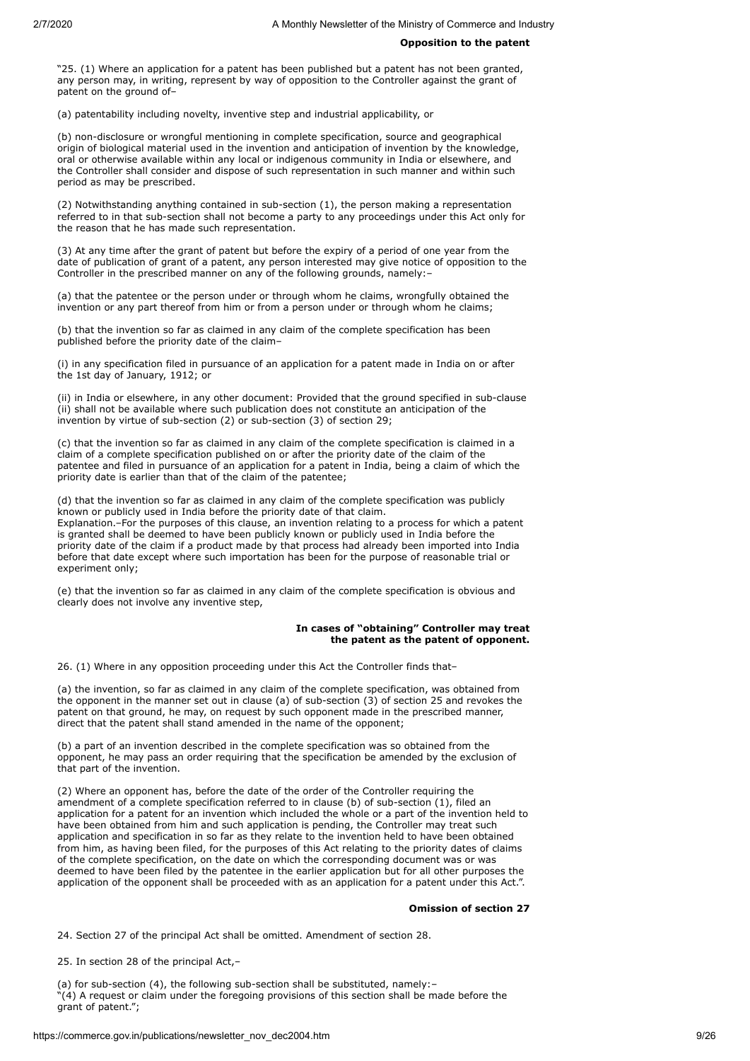#### **Opposition to the patent**

"25. (1) Where an application for a patent has been published but a patent has not been granted, any person may, in writing, represent by way of opposition to the Controller against the grant of patent on the ground of–

(a) patentability including novelty, inventive step and industrial applicability, or

(b) non-disclosure or wrongful mentioning in complete specification, source and geographical origin of biological material used in the invention and anticipation of invention by the knowledge, oral or otherwise available within any local or indigenous community in India or elsewhere, and the Controller shall consider and dispose of such representation in such manner and within such period as may be prescribed.

(2) Notwithstanding anything contained in sub-section (1), the person making a representation referred to in that sub-section shall not become a party to any proceedings under this Act only for the reason that he has made such representation.

(3) At any time after the grant of patent but before the expiry of a period of one year from the date of publication of grant of a patent, any person interested may give notice of opposition to the Controller in the prescribed manner on any of the following grounds, namely:–

(a) that the patentee or the person under or through whom he claims, wrongfully obtained the invention or any part thereof from him or from a person under or through whom he claims;

(b) that the invention so far as claimed in any claim of the complete specification has been published before the priority date of the claim–

(i) in any specification filed in pursuance of an application for a patent made in India on or after the 1st day of January, 1912; or

(ii) in India or elsewhere, in any other document: Provided that the ground specified in sub-clause (ii) shall not be available where such publication does not constitute an anticipation of the invention by virtue of sub-section (2) or sub-section (3) of section 29;

(c) that the invention so far as claimed in any claim of the complete specification is claimed in a claim of a complete specification published on or after the priority date of the claim of the patentee and filed in pursuance of an application for a patent in India, being a claim of which the priority date is earlier than that of the claim of the patentee;

(d) that the invention so far as claimed in any claim of the complete specification was publicly known or publicly used in India before the priority date of that claim.

Explanation.–For the purposes of this clause, an invention relating to a process for which a patent is granted shall be deemed to have been publicly known or publicly used in India before the priority date of the claim if a product made by that process had already been imported into India before that date except where such importation has been for the purpose of reasonable trial or experiment only;

(e) that the invention so far as claimed in any claim of the complete specification is obvious and clearly does not involve any inventive step,

## **In cases of "obtaining" Controller may treat the patent as the patent of opponent.**

26. (1) Where in any opposition proceeding under this Act the Controller finds that–

(a) the invention, so far as claimed in any claim of the complete specification, was obtained from the opponent in the manner set out in clause (a) of sub-section (3) of section 25 and revokes the patent on that ground, he may, on request by such opponent made in the prescribed manner, direct that the patent shall stand amended in the name of the opponent;

(b) a part of an invention described in the complete specification was so obtained from the opponent, he may pass an order requiring that the specification be amended by the exclusion of that part of the invention.

(2) Where an opponent has, before the date of the order of the Controller requiring the amendment of a complete specification referred to in clause (b) of sub-section (1), filed an application for a patent for an invention which included the whole or a part of the invention held to have been obtained from him and such application is pending, the Controller may treat such application and specification in so far as they relate to the invention held to have been obtained from him, as having been filed, for the purposes of this Act relating to the priority dates of claims of the complete specification, on the date on which the corresponding document was or was deemed to have been filed by the patentee in the earlier application but for all other purposes the application of the opponent shall be proceeded with as an application for a patent under this Act.".

## **Omission of section 27**

24. Section 27 of the principal Act shall be omitted. Amendment of section 28.

25. In section 28 of the principal Act,–

(a) for sub-section (4), the following sub-section shall be substituted, namely:– "(4) A request or claim under the foregoing provisions of this section shall be made before the grant of patent.";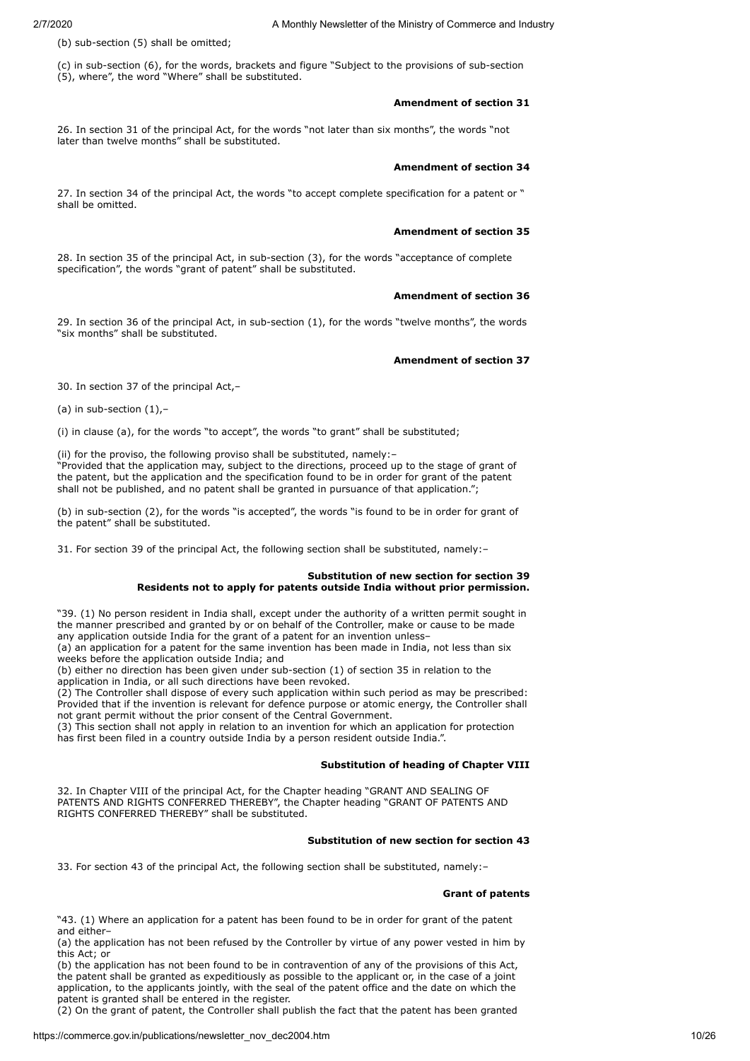(b) sub-section (5) shall be omitted;

(c) in sub-section (6), for the words, brackets and figure "Subject to the provisions of sub-section (5), where", the word "Where" shall be substituted.

## **Amendment of section 31**

26. In section 31 of the principal Act, for the words "not later than six months", the words "not later than twelve months" shall be substituted.

#### **Amendment of section 34**

27. In section 34 of the principal Act, the words "to accept complete specification for a patent or " shall be omitted.

#### **Amendment of section 35**

28. In section 35 of the principal Act, in sub-section (3), for the words "acceptance of complete specification", the words "grant of patent" shall be substituted.

#### **Amendment of section 36**

29. In section 36 of the principal Act, in sub-section (1), for the words "twelve months", the words "six months" shall be substituted.

#### **Amendment of section 37**

30. In section 37 of the principal Act,–

(a) in sub-section  $(1)$ ,-

(i) in clause (a), for the words "to accept", the words "to grant" shall be substituted;

(ii) for the proviso, the following proviso shall be substituted, namely:–

"Provided that the application may, subject to the directions, proceed up to the stage of grant of the patent, but the application and the specification found to be in order for grant of the patent shall not be published, and no patent shall be granted in pursuance of that application.";

(b) in sub-section (2), for the words "is accepted", the words "is found to be in order for grant of the patent" shall be substituted.

31. For section 39 of the principal Act, the following section shall be substituted, namely:–

#### **Substitution of new section for section 39 Residents not to apply for patents outside India without prior permission.**

"39. (1) No person resident in India shall, except under the authority of a written permit sought in the manner prescribed and granted by or on behalf of the Controller, make or cause to be made any application outside India for the grant of a patent for an invention unless–

(a) an application for a patent for the same invention has been made in India, not less than six weeks before the application outside India; and

(b) either no direction has been given under sub-section (1) of section 35 in relation to the application in India, or all such directions have been revoked.

(2) The Controller shall dispose of every such application within such period as may be prescribed: Provided that if the invention is relevant for defence purpose or atomic energy, the Controller shall not grant permit without the prior consent of the Central Government.

(3) This section shall not apply in relation to an invention for which an application for protection has first been filed in a country outside India by a person resident outside India.".

## **Substitution of heading of Chapter VIII**

32. In Chapter VIII of the principal Act, for the Chapter heading "GRANT AND SEALING OF PATENTS AND RIGHTS CONFERRED THEREBY", the Chapter heading "GRANT OF PATENTS AND RIGHTS CONFERRED THEREBY" shall be substituted.

## **Substitution of new section for section 43**

33. For section 43 of the principal Act, the following section shall be substituted, namely:–

#### **Grant of patents**

"43. (1) Where an application for a patent has been found to be in order for grant of the patent and either–

(a) the application has not been refused by the Controller by virtue of any power vested in him by this Act; or

(b) the application has not been found to be in contravention of any of the provisions of this Act, the patent shall be granted as expeditiously as possible to the applicant or, in the case of a joint application, to the applicants jointly, with the seal of the patent office and the date on which the patent is granted shall be entered in the register.

(2) On the grant of patent, the Controller shall publish the fact that the patent has been granted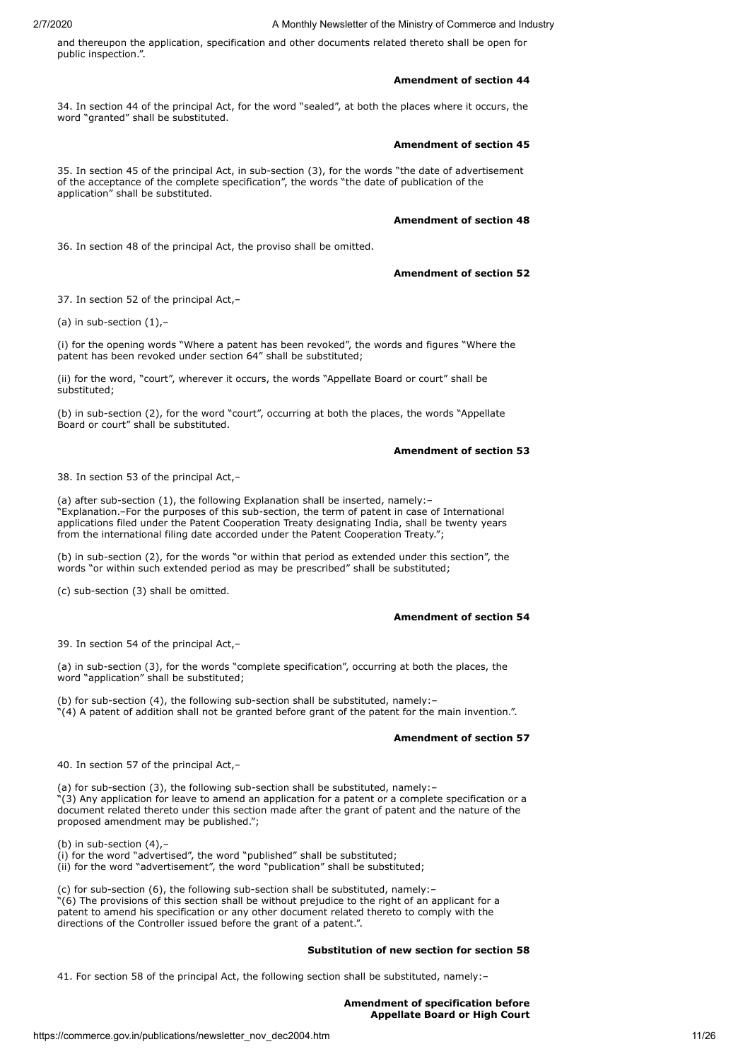and thereupon the application, specification and other documents related thereto shall be open for public inspection.".

### **Amendment of section 44**

34. In section 44 of the principal Act, for the word "sealed", at both the places where it occurs, the word "granted" shall be substituted.

## **Amendment of section 45**

35. In section 45 of the principal Act, in sub-section (3), for the words "the date of advertisement of the acceptance of the complete specification", the words "the date of publication of the application" shall be substituted.

## **Amendment of section 48**

36. In section 48 of the principal Act, the proviso shall be omitted.

## **Amendment of section 52**

37. In section 52 of the principal Act,–

(a) in sub-section  $(1),$ -

(i) for the opening words "Where a patent has been revoked", the words and figures "Where the patent has been revoked under section 64" shall be substituted;

(ii) for the word, "court", wherever it occurs, the words "Appellate Board or court" shall be substituted;

(b) in sub-section (2), for the word "court", occurring at both the places, the words "Appellate Board or court" shall be substituted.

## **Amendment of section 53**

38. In section 53 of the principal Act,–

(a) after sub-section (1), the following Explanation shall be inserted, namely:– "Explanation.–For the purposes of this sub-section, the term of patent in case of International applications filed under the Patent Cooperation Treaty designating India, shall be twenty years from the international filing date accorded under the Patent Cooperation Treaty.";

(b) in sub-section (2), for the words "or within that period as extended under this section", the words "or within such extended period as may be prescribed" shall be substituted;

(c) sub-section (3) shall be omitted.

## **Amendment of section 54**

39. In section 54 of the principal Act,–

(a) in sub-section (3), for the words "complete specification", occurring at both the places, the word "application" shall be substituted;

(b) for sub-section (4), the following sub-section shall be substituted, namely:–  $^{\prime\prime}(4)$  A patent of addition shall not be granted before grant of the patent for the main invention.".

## **Amendment of section 57**

40. In section 57 of the principal Act,–

(a) for sub-section (3), the following sub-section shall be substituted, namely:–  $(3)$  Any application for leave to amend an application for a patent or a complete specification or a document related thereto under this section made after the grant of patent and the nature of the proposed amendment may be published.";

(b) in sub-section  $(4)$ ,-

(i) for the word "advertised", the word "published" shall be substituted;

(ii) for the word "advertisement", the word "publication" shall be substituted;

(c) for sub-section (6), the following sub-section shall be substituted, namely:–

"(6) The provisions of this section shall be without prejudice to the right of an applicant for a patent to amend his specification or any other document related thereto to comply with the directions of the Controller issued before the grant of a patent.".

## **Substitution of new section for section 58**

41. For section 58 of the principal Act, the following section shall be substituted, namely:–

**Amendment of specification before Appellate Board or High Court**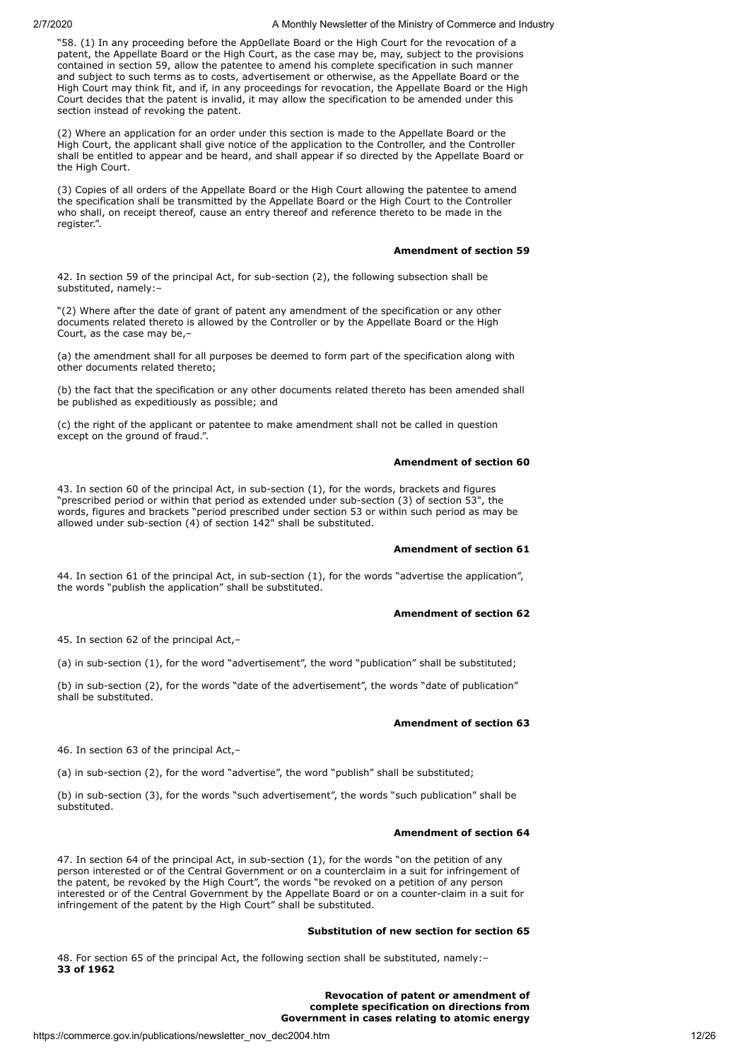"58. (1) In any proceeding before the App0ellate Board or the High Court for the revocation of a patent, the Appellate Board or the High Court, as the case may be, may, subject to the provisions contained in section 59, allow the patentee to amend his complete specification in such manner and subject to such terms as to costs, advertisement or otherwise, as the Appellate Board or the High Court may think fit, and if, in any proceedings for revocation, the Appellate Board or the High Court decides that the patent is invalid, it may allow the specification to be amended under this section instead of revoking the patent.

(2) Where an application for an order under this section is made to the Appellate Board or the High Court, the applicant shall give notice of the application to the Controller, and the Controller shall be entitled to appear and be heard, and shall appear if so directed by the Appellate Board or the High Court.

(3) Copies of all orders of the Appellate Board or the High Court allowing the patentee to amend the specification shall be transmitted by the Appellate Board or the High Court to the Controller who shall, on receipt thereof, cause an entry thereof and reference thereto to be made in the register.".

#### **Amendment of section 59**

42. In section 59 of the principal Act, for sub-section (2), the following subsection shall be substituted, namely:–

"(2) Where after the date of grant of patent any amendment of the specification or any other documents related thereto is allowed by the Controller or by the Appellate Board or the High Court, as the case may be,–

(a) the amendment shall for all purposes be deemed to form part of the specification along with other documents related thereto;

(b) the fact that the specification or any other documents related thereto has been amended shall be published as expeditiously as possible; and

(c) the right of the applicant or patentee to make amendment shall not be called in question except on the ground of fraud.".

## **Amendment of section 60**

43. In section 60 of the principal Act, in sub-section (1), for the words, brackets and figures "prescribed period or within that period as extended under sub-section (3) of section 53", the words, figures and brackets "period prescribed under section 53 or within such period as may be allowed under sub-section (4) of section 142" shall be substituted.

## **Amendment of section 61**

44. In section 61 of the principal Act, in sub-section (1), for the words "advertise the application", the words "publish the application" shall be substituted.

## **Amendment of section 62**

45. In section 62 of the principal Act,–

(a) in sub-section (1), for the word "advertisement", the word "publication" shall be substituted;

(b) in sub-section (2), for the words "date of the advertisement", the words "date of publication" shall be substituted.

## **Amendment of section 63**

46. In section 63 of the principal Act,–

(a) in sub-section (2), for the word "advertise", the word "publish" shall be substituted;

(b) in sub-section (3), for the words "such advertisement", the words "such publication" shall be substituted.

#### **Amendment of section 64**

47. In section 64 of the principal Act, in sub-section (1), for the words "on the petition of any person interested or of the Central Government or on a counterclaim in a suit for infringement of the patent, be revoked by the High Court", the words "be revoked on a petition of any person interested or of the Central Government by the Appellate Board or on a counter-claim in a suit for infringement of the patent by the High Court" shall be substituted.

## **Substitution of new section for section 65**

48. For section 65 of the principal Act, the following section shall be substituted, namely:– **33 of 1962**

> **Revocation of patent or amendment of complete specification on directions from Government in cases relating to atomic energy**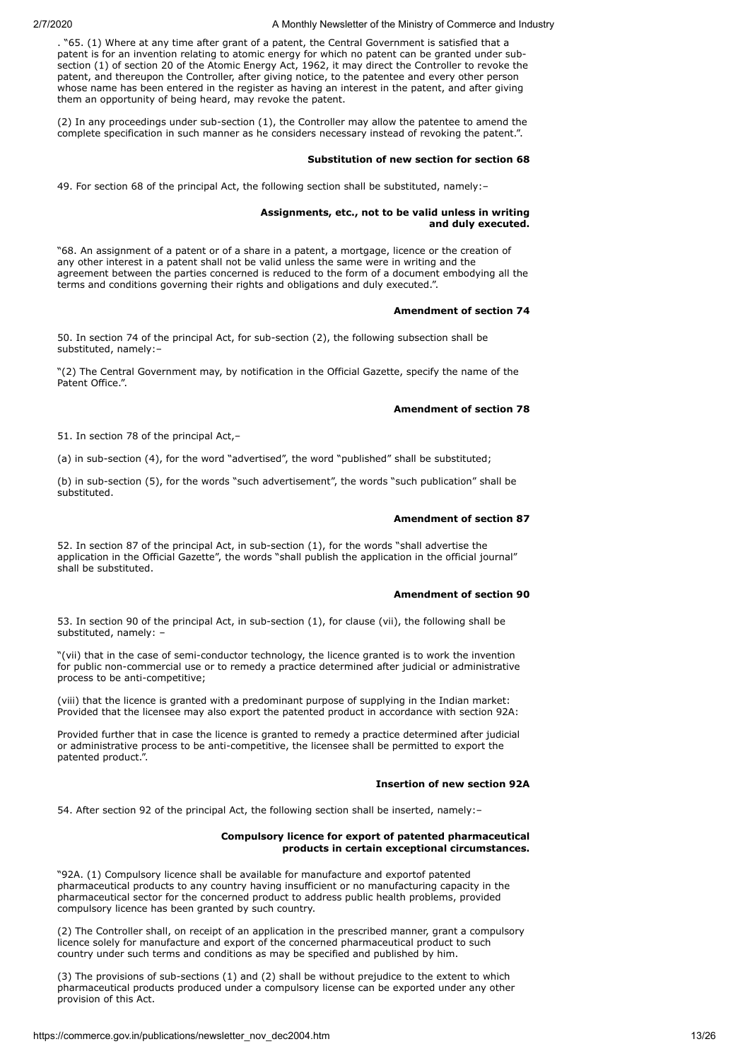. "65. (1) Where at any time after grant of a patent, the Central Government is satisfied that a patent is for an invention relating to atomic energy for which no patent can be granted under subsection (1) of section 20 of the Atomic Energy Act, 1962, it may direct the Controller to revoke the patent, and thereupon the Controller, after giving notice, to the patentee and every other person whose name has been entered in the register as having an interest in the patent, and after giving them an opportunity of being heard, may revoke the patent.

(2) In any proceedings under sub-section (1), the Controller may allow the patentee to amend the complete specification in such manner as he considers necessary instead of revoking the patent.".

#### **Substitution of new section for section 68**

49. For section 68 of the principal Act, the following section shall be substituted, namely:–

## **Assignments, etc., not to be valid unless in writing and duly executed.**

"68. An assignment of a patent or of a share in a patent, a mortgage, licence or the creation of any other interest in a patent shall not be valid unless the same were in writing and the agreement between the parties concerned is reduced to the form of a document embodying all the terms and conditions governing their rights and obligations and duly executed.".

#### **Amendment of section 74**

50. In section 74 of the principal Act, for sub-section (2), the following subsection shall be substituted, namely:–

"(2) The Central Government may, by notification in the Official Gazette, specify the name of the Patent Office.".

#### **Amendment of section 78**

51. In section 78 of the principal Act,–

(a) in sub-section (4), for the word "advertised", the word "published" shall be substituted;

(b) in sub-section (5), for the words "such advertisement", the words "such publication" shall be substituted.

#### **Amendment of section 87**

52. In section 87 of the principal Act, in sub-section (1), for the words "shall advertise the application in the Official Gazette", the words "shall publish the application in the official journal" shall be substituted.

#### **Amendment of section 90**

53. In section 90 of the principal Act, in sub-section (1), for clause (vii), the following shall be substituted, namely: –

"(vii) that in the case of semi-conductor technology, the licence granted is to work the invention for public non-commercial use or to remedy a practice determined after judicial or administrative process to be anti-competitive;

(viii) that the licence is granted with a predominant purpose of supplying in the Indian market: Provided that the licensee may also export the patented product in accordance with section 92A:

Provided further that in case the licence is granted to remedy a practice determined after judicial or administrative process to be anti-competitive, the licensee shall be permitted to export the patented product.".

#### **Insertion of new section 92A**

54. After section 92 of the principal Act, the following section shall be inserted, namely:–

#### **Compulsory licence for export of patented pharmaceutical products in certain exceptional circumstances.**

"92A. (1) Compulsory licence shall be available for manufacture and exportof patented pharmaceutical products to any country having insufficient or no manufacturing capacity in the pharmaceutical sector for the concerned product to address public health problems, provided compulsory licence has been granted by such country.

(2) The Controller shall, on receipt of an application in the prescribed manner, grant a compulsory licence solely for manufacture and export of the concerned pharmaceutical product to such country under such terms and conditions as may be specified and published by him.

(3) The provisions of sub-sections (1) and (2) shall be without prejudice to the extent to which pharmaceutical products produced under a compulsory license can be exported under any other provision of this Act.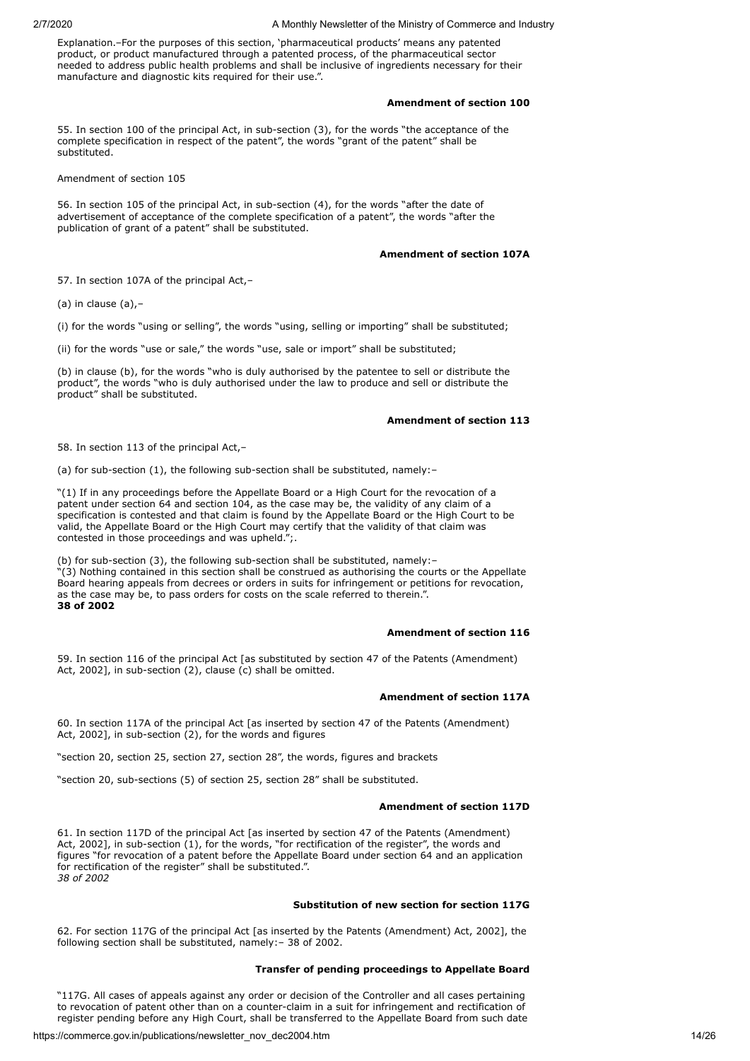Explanation.–For the purposes of this section, 'pharmaceutical products' means any patented product, or product manufactured through a patented process, of the pharmaceutical sector needed to address public health problems and shall be inclusive of ingredients necessary for their manufacture and diagnostic kits required for their use.".

## **Amendment of section 100**

55. In section 100 of the principal Act, in sub-section (3), for the words "the acceptance of the complete specification in respect of the patent", the words "grant of the patent" shall be substituted.

Amendment of section 105

56. In section 105 of the principal Act, in sub-section (4), for the words "after the date of advertisement of acceptance of the complete specification of a patent", the words "after the publication of grant of a patent" shall be substituted.

## **Amendment of section 107A**

57. In section 107A of the principal Act,-

(a) in clause (a),–

(i) for the words "using or selling", the words "using, selling or importing" shall be substituted;

(ii) for the words "use or sale," the words "use, sale or import" shall be substituted;

(b) in clause (b), for the words "who is duly authorised by the patentee to sell or distribute the product", the words "who is duly authorised under the law to produce and sell or distribute the product" shall be substituted.

## **Amendment of section 113**

58. In section 113 of the principal Act,–

(a) for sub-section (1), the following sub-section shall be substituted, namely:–

"(1) If in any proceedings before the Appellate Board or a High Court for the revocation of a patent under section 64 and section 104, as the case may be, the validity of any claim of a specification is contested and that claim is found by the Appellate Board or the High Court to be valid, the Appellate Board or the High Court may certify that the validity of that claim was contested in those proceedings and was upheld.";.

(b) for sub-section (3), the following sub-section shall be substituted, namely:– "(3) Nothing contained in this section shall be construed as authorising the courts or the Appellate Board hearing appeals from decrees or orders in suits for infringement or petitions for revocation, as the case may be, to pass orders for costs on the scale referred to therein.". **38 of 2002**

#### **Amendment of section 116**

59. In section 116 of the principal Act [as substituted by section 47 of the Patents (Amendment) Act, 2002], in sub-section (2), clause (c) shall be omitted.

## **Amendment of section 117A**

60. In section 117A of the principal Act [as inserted by section 47 of the Patents (Amendment) Act, 2002], in sub-section (2), for the words and figures

"section 20, section 25, section 27, section 28", the words, figures and brackets

"section 20, sub-sections (5) of section 25, section 28" shall be substituted.

### **Amendment of section 117D**

61. In section 117D of the principal Act [as inserted by section 47 of the Patents (Amendment) Act, 2002], in sub-section (1), for the words, "for rectification of the register", the words and figures "for revocation of a patent before the Appellate Board under section 64 and an application for rectification of the register" shall be substituted.". *38 of 2002*

#### **Substitution of new section for section 117G**

62. For section 117G of the principal Act [as inserted by the Patents (Amendment) Act, 2002], the following section shall be substituted, namely:– 38 of 2002.

## **Transfer of pending proceedings to Appellate Board**

"117G. All cases of appeals against any order or decision of the Controller and all cases pertaining to revocation of patent other than on a counter-claim in a suit for infringement and rectification of register pending before any High Court, shall be transferred to the Appellate Board from such date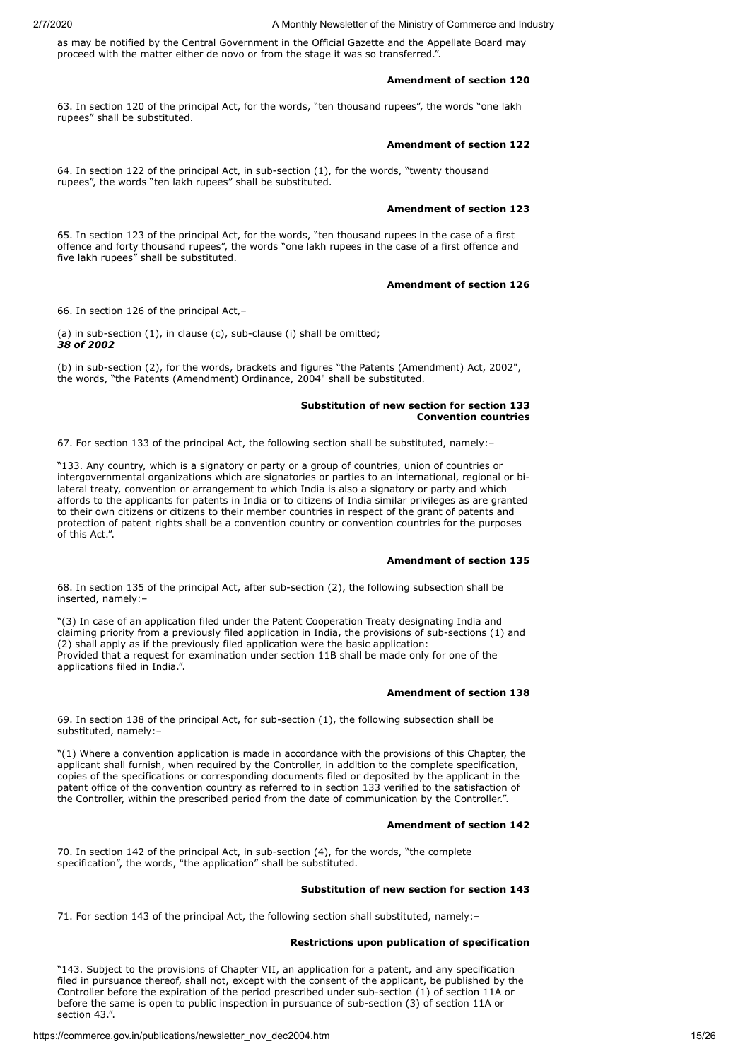as may be notified by the Central Government in the Official Gazette and the Appellate Board may proceed with the matter either de novo or from the stage it was so transferred."

#### **Amendment of section 120**

63. In section 120 of the principal Act, for the words, "ten thousand rupees", the words "one lakh rupees" shall be substituted.

#### **Amendment of section 122**

64. In section 122 of the principal Act, in sub-section (1), for the words, "twenty thousand rupees", the words "ten lakh rupees" shall be substituted.

## **Amendment of section 123**

65. In section 123 of the principal Act, for the words, "ten thousand rupees in the case of a first offence and forty thousand rupees", the words "one lakh rupees in the case of a first offence and five lakh rupees" shall be substituted.

## **Amendment of section 126**

66. In section 126 of the principal Act,–

(a) in sub-section (1), in clause (c), sub-clause (i) shall be omitted; *38 of 2002*

(b) in sub-section (2), for the words, brackets and figures "the Patents (Amendment) Act, 2002", the words, "the Patents (Amendment) Ordinance, 2004" shall be substituted.

## **Substitution of new section for section 133 Convention countries**

67. For section 133 of the principal Act, the following section shall be substituted, namely:–

"133. Any country, which is a signatory or party or a group of countries, union of countries or intergovernmental organizations which are signatories or parties to an international, regional or bilateral treaty, convention or arrangement to which India is also a signatory or party and which affords to the applicants for patents in India or to citizens of India similar privileges as are granted to their own citizens or citizens to their member countries in respect of the grant of patents and protection of patent rights shall be a convention country or convention countries for the purposes of this Act.".

#### **Amendment of section 135**

68. In section 135 of the principal Act, after sub-section (2), the following subsection shall be inserted, namely:–

"(3) In case of an application filed under the Patent Cooperation Treaty designating India and claiming priority from a previously filed application in India, the provisions of sub-sections (1) and (2) shall apply as if the previously filed application were the basic application: Provided that a request for examination under section 11B shall be made only for one of the applications filed in India.".

#### **Amendment of section 138**

69. In section 138 of the principal Act, for sub-section (1), the following subsection shall be substituted, namely:–

"(1) Where a convention application is made in accordance with the provisions of this Chapter, the applicant shall furnish, when required by the Controller, in addition to the complete specification, copies of the specifications or corresponding documents filed or deposited by the applicant in the patent office of the convention country as referred to in section 133 verified to the satisfaction of the Controller, within the prescribed period from the date of communication by the Controller.".

## **Amendment of section 142**

70. In section 142 of the principal Act, in sub-section (4), for the words, "the complete specification", the words, "the application" shall be substituted.

## **Substitution of new section for section 143**

71. For section 143 of the principal Act, the following section shall substituted, namely:-

#### **Restrictions upon publication of specification**

"143. Subject to the provisions of Chapter VII, an application for a patent, and any specification filed in pursuance thereof, shall not, except with the consent of the applicant, be published by the Controller before the expiration of the period prescribed under sub-section (1) of section 11A or before the same is open to public inspection in pursuance of sub-section (3) of section 11A or section 43.".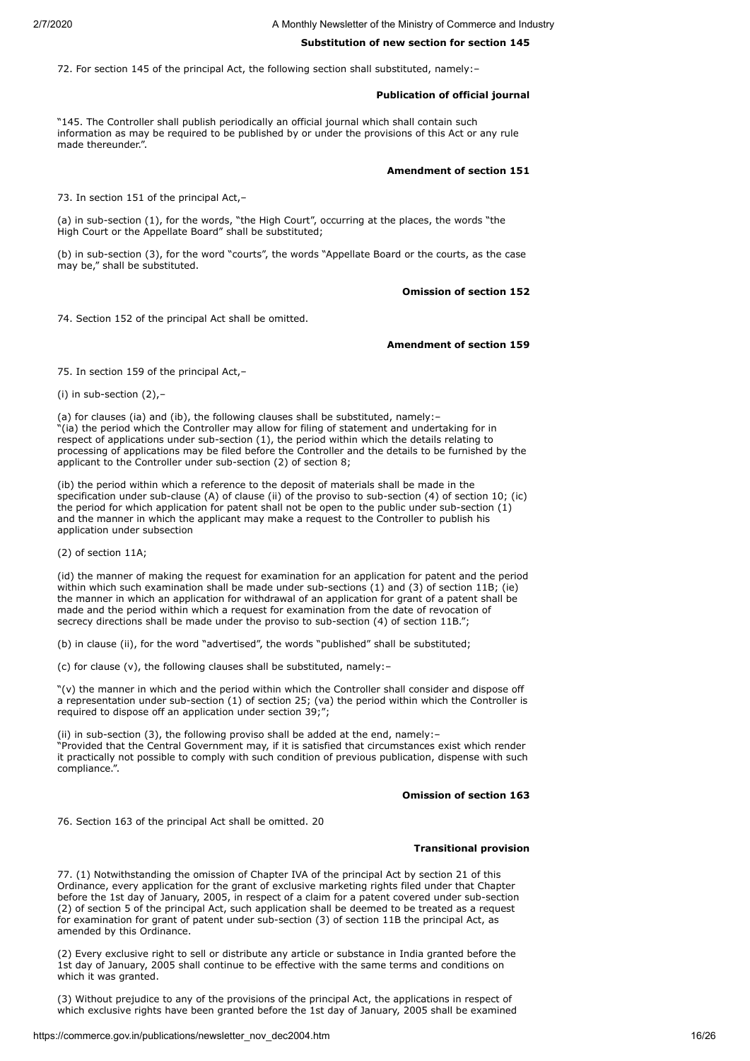## **Substitution of new section for section 145**

72. For section 145 of the principal Act, the following section shall substituted, namely:–

## **Publication of official journal**

"145. The Controller shall publish periodically an official journal which shall contain such information as may be required to be published by or under the provisions of this Act or any rule made thereunder.".

## **Amendment of section 151**

73. In section 151 of the principal Act,-

(a) in sub-section (1), for the words, "the High Court", occurring at the places, the words "the High Court or the Appellate Board" shall be substituted;

(b) in sub-section (3), for the word "courts", the words "Appellate Board or the courts, as the case may be," shall be substituted.

#### **Omission of section 152**

74. Section 152 of the principal Act shall be omitted.

#### **Amendment of section 159**

75. In section 159 of the principal Act,–

(i) in sub-section (2),–

(a) for clauses (ia) and (ib), the following clauses shall be substituted, namely:– "(ia) the period which the Controller may allow for filing of statement and undertaking for in respect of applications under sub-section (1), the period within which the details relating to processing of applications may be filed before the Controller and the details to be furnished by the applicant to the Controller under sub-section (2) of section 8;

(ib) the period within which a reference to the deposit of materials shall be made in the specification under sub-clause (A) of clause (ii) of the proviso to sub-section (4) of section 10; (ic) the period for which application for patent shall not be open to the public under sub-section (1) and the manner in which the applicant may make a request to the Controller to publish his application under subsection

(2) of section 11A;

(id) the manner of making the request for examination for an application for patent and the period within which such examination shall be made under sub-sections (1) and (3) of section 11B; (ie) the manner in which an application for withdrawal of an application for grant of a patent shall be made and the period within which a request for examination from the date of revocation of secrecy directions shall be made under the proviso to sub-section (4) of section 11B.";

(b) in clause (ii), for the word "advertised", the words "published" shall be substituted;

(c) for clause (v), the following clauses shall be substituted, namely:–

"(v) the manner in which and the period within which the Controller shall consider and dispose off a representation under sub-section (1) of section 25; (va) the period within which the Controller is required to dispose off an application under section 39;";

(ii) in sub-section (3), the following proviso shall be added at the end, namely:– "Provided that the Central Government may, if it is satisfied that circumstances exist which render it practically not possible to comply with such condition of previous publication, dispense with such compliance.".

#### **Omission of section 163**

76. Section 163 of the principal Act shall be omitted. 20

#### **Transitional provision**

77. (1) Notwithstanding the omission of Chapter IVA of the principal Act by section 21 of this Ordinance, every application for the grant of exclusive marketing rights filed under that Chapter before the 1st day of January, 2005, in respect of a claim for a patent covered under sub-section (2) of section 5 of the principal Act, such application shall be deemed to be treated as a request for examination for grant of patent under sub-section (3) of section 11B the principal Act, as amended by this Ordinance.

(2) Every exclusive right to sell or distribute any article or substance in India granted before the 1st day of January, 2005 shall continue to be effective with the same terms and conditions on which it was granted.

(3) Without prejudice to any of the provisions of the principal Act, the applications in respect of which exclusive rights have been granted before the 1st day of January, 2005 shall be examined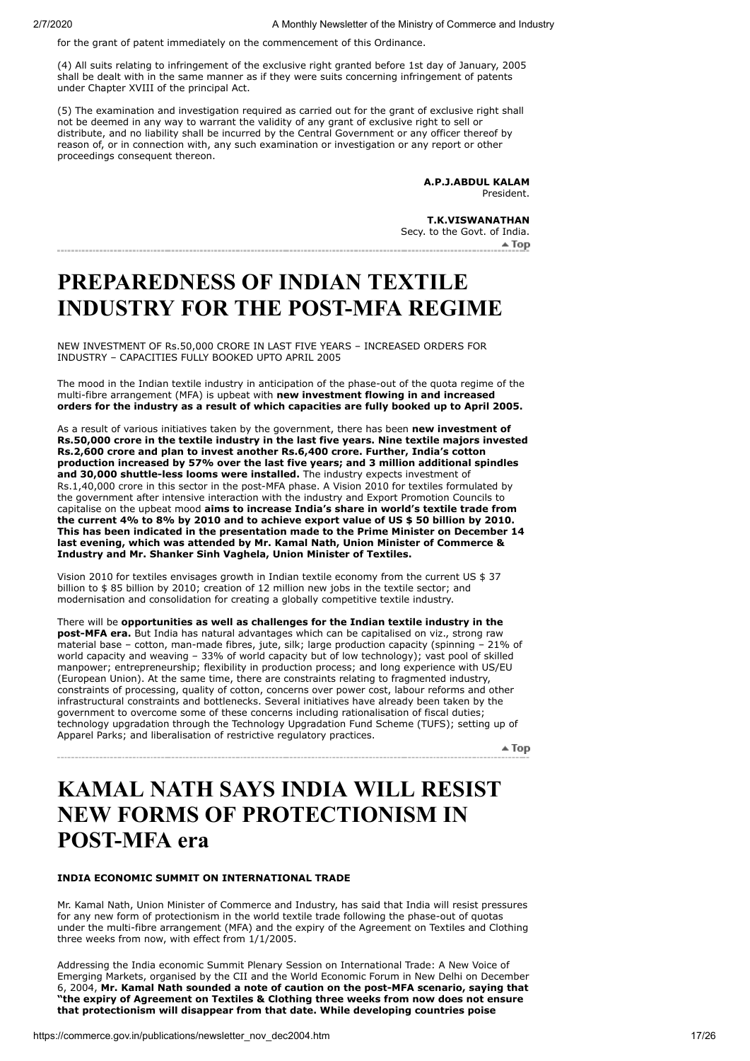for the grant of patent immediately on the commencement of this Ordinance.

(4) All suits relating to infringement of the exclusive right granted before 1st day of January, 2005 shall be dealt with in the same manner as if they were suits concerning infringement of patents under Chapter XVIII of the principal Act.

(5) The examination and investigation required as carried out for the grant of exclusive right shall not be deemed in any way to warrant the validity of any grant of exclusive right to sell or distribute, and no liability shall be incurred by the Central Government or any officer thereof by reason of, or in connection with, any such examination or investigation or any report or other proceedings consequent thereon.

> **A.P.J.ABDUL KALAM** President.

**T.K.VISWANATHAN** Secy. to the Govt. of India.

# <span id="page-16-0"></span>**PREPAREDNESS OF INDIAN TEXTILE INDUSTRY FOR THE POST-MFA REGIME**

NEW INVESTMENT OF Rs.50,000 CRORE IN LAST FIVE YEARS – INCREASED ORDERS FOR INDUSTRY – CAPACITIES FULLY BOOKED UPTO APRIL 2005

The mood in the Indian textile industry in anticipation of the phase-out of the quota regime of the multi-fibre arrangement (MFA) is upbeat with **new investment flowing in and increased orders for the industry as a result of which capacities are fully booked up to April 2005.**

As a result of various initiatives taken by the government, there has been **new investment of Rs.50,000 crore in the textile industry in the last five years. Nine textile majors invested Rs.2,600 crore and plan to invest another Rs.6,400 crore. Further, India's cotton production increased by 57% over the last five years; and 3 million additional spindles and 30,000 shuttle-less looms were installed.** The industry expects investment of Rs.1,40,000 crore in this sector in the post-MFA phase. A Vision 2010 for textiles formulated by the government after intensive interaction with the industry and Export Promotion Councils to capitalise on the upbeat mood **aims to increase India's share in world's textile trade from the current 4% to 8% by 2010 and to achieve export value of US \$ 50 billion by 2010. This has been indicated in the presentation made to the Prime Minister on December 14 last evening, which was attended by Mr. Kamal Nath, Union Minister of Commerce & Industry and Mr. Shanker Sinh Vaghela, Union Minister of Textiles.**

Vision 2010 for textiles envisages growth in Indian textile economy from the current US \$ 37 billion to \$ 85 billion by 2010; creation of 12 million new jobs in the textile sector; and modernisation and consolidation for creating a globally competitive textile industry.

There will be **opportunities as well as challenges for the Indian textile industry in the post-MFA era.** But India has natural advantages which can be capitalised on viz., strong raw material base – cotton, man-made fibres, jute, silk; large production capacity (spinning – 21% of world capacity and weaving – 33% of world capacity but of low technology); vast pool of skilled manpower; entrepreneurship; flexibility in production process; and long experience with US/EU (European Union). At the same time, there are constraints relating to fragmented industry, constraints of processing, quality of cotton, concerns over power cost, labour reforms and other infrastructural constraints and bottlenecks. Several initiatives have already been taken by the government to overcome some of these concerns including rationalisation of fiscal duties; technology upgradation through the Technology Upgradation Fund Scheme (TUFS); setting up of Apparel Parks; and liberalisation of restrictive regulatory practices.

 $\triangle$  Top

# <span id="page-16-1"></span>**KAMAL NATH SAYS INDIA WILL RESIST NEW FORMS OF PROTECTIONISM IN POST-MFA era**

## **INDIA ECONOMIC SUMMIT ON INTERNATIONAL TRADE**

Mr. Kamal Nath, Union Minister of Commerce and Industry, has said that India will resist pressures for any new form of protectionism in the world textile trade following the phase-out of quotas under the multi-fibre arrangement (MFA) and the expiry of the Agreement on Textiles and Clothing three weeks from now, with effect from 1/1/2005.

Addressing the India economic Summit Plenary Session on International Trade: A New Voice of Emerging Markets, organised by the CII and the World Economic Forum in New Delhi on December 6, 2004, **Mr. Kamal Nath sounded a note of caution on the post-MFA scenario, saying that "the expiry of Agreement on Textiles & Clothing three weeks from now does not ensure that protectionism will disappear from that date. While developing countries poise**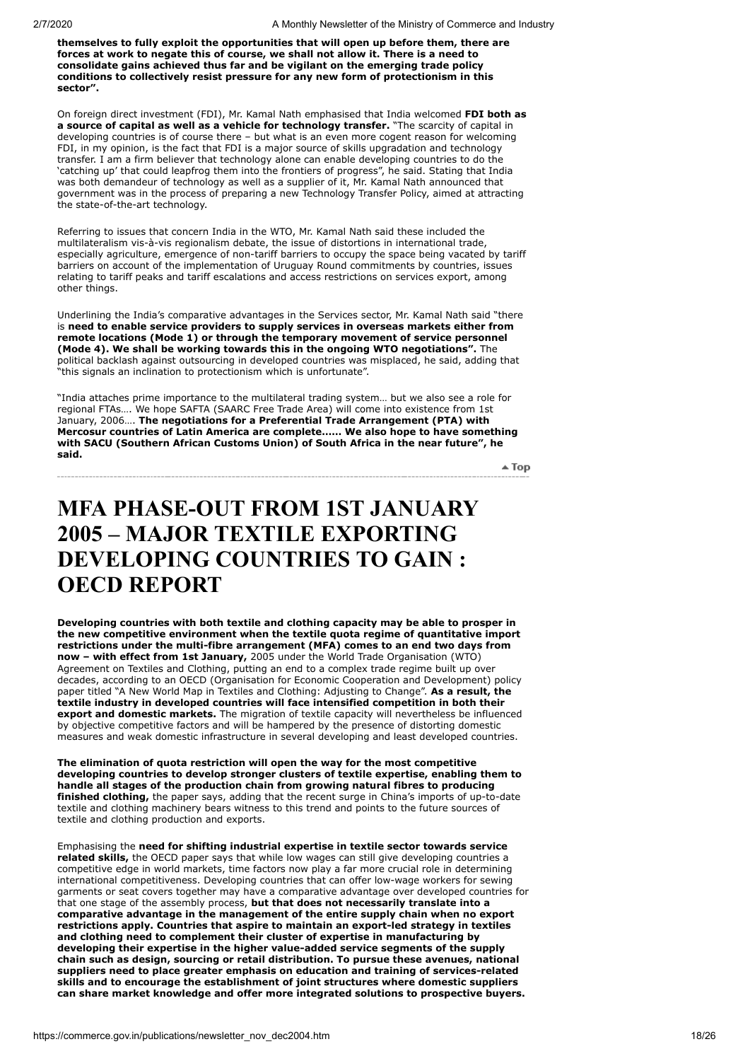**themselves to fully exploit the opportunities that will open up before them, there are forces at work to negate this of course, we shall not allow it. There is a need to consolidate gains achieved thus far and be vigilant on the emerging trade policy conditions to collectively resist pressure for any new form of protectionism in this sector".**

On foreign direct investment (FDI), Mr. Kamal Nath emphasised that India welcomed **FDI both as a source of capital as well as a vehicle for technology transfer.** "The scarcity of capital in developing countries is of course there – but what is an even more cogent reason for welcoming FDI, in my opinion, is the fact that FDI is a major source of skills upgradation and technology transfer. I am a firm believer that technology alone can enable developing countries to do the 'catching up' that could leapfrog them into the frontiers of progress", he said. Stating that India was both demandeur of technology as well as a supplier of it, Mr. Kamal Nath announced that government was in the process of preparing a new Technology Transfer Policy, aimed at attracting the state-of-the-art technology.

Referring to issues that concern India in the WTO, Mr. Kamal Nath said these included the multilateralism vis-à-vis regionalism debate, the issue of distortions in international trade, especially agriculture, emergence of non-tariff barriers to occupy the space being vacated by tariff barriers on account of the implementation of Uruguay Round commitments by countries, issues relating to tariff peaks and tariff escalations and access restrictions on services export, among other things.

Underlining the India's comparative advantages in the Services sector, Mr. Kamal Nath said "there is **need to enable service providers to supply services in overseas markets either from remote locations (Mode 1) or through the temporary movement of service personnel (Mode 4). We shall be working towards this in the ongoing WTO negotiations".** The political backlash against outsourcing in developed countries was misplaced, he said, adding that "this signals an inclination to protectionism which is unfortunate".

"India attaches prime importance to the multilateral trading system… but we also see a role for regional FTAs…. We hope SAFTA (SAARC Free Trade Area) will come into existence from 1st January, 2006…. **The negotiations for a Preferential Trade Arrangement (PTA) with Mercosur countries of Latin America are complete…… We also hope to have something with SACU (Southern African Customs Union) of South Africa in the near future", he said.**

 $\triangle$  Top

## <span id="page-17-0"></span>**MFA PHASE-OUT FROM 1ST JANUARY 2005 – MAJOR TEXTILE EXPORTING DEVELOPING COUNTRIES TO GAIN : OECD REPORT**

**Developing countries with both textile and clothing capacity may be able to prosper in the new competitive environment when the textile quota regime of quantitative import restrictions under the multi-fibre arrangement (MFA) comes to an end two days from now – with effect from 1st January,** 2005 under the World Trade Organisation (WTO) Agreement on Textiles and Clothing, putting an end to a complex trade regime built up over decades, according to an OECD (Organisation for Economic Cooperation and Development) policy paper titled "A New World Map in Textiles and Clothing: Adjusting to Change". **As a result, the textile industry in developed countries will face intensified competition in both their export and domestic markets.** The migration of textile capacity will nevertheless be influenced by objective competitive factors and will be hampered by the presence of distorting domestic measures and weak domestic infrastructure in several developing and least developed countries.

**The elimination of quota restriction will open the way for the most competitive developing countries to develop stronger clusters of textile expertise, enabling them to handle all stages of the production chain from growing natural fibres to producing finished clothing,** the paper says, adding that the recent surge in China's imports of up-to-date textile and clothing machinery bears witness to this trend and points to the future sources of textile and clothing production and exports.

Emphasising the **need for shifting industrial expertise in textile sector towards service related skills,** the OECD paper says that while low wages can still give developing countries a competitive edge in world markets, time factors now play a far more crucial role in determining international competitiveness. Developing countries that can offer low-wage workers for sewing garments or seat covers together may have a comparative advantage over developed countries for that one stage of the assembly process, **but that does not necessarily translate into a comparative advantage in the management of the entire supply chain when no export restrictions apply. Countries that aspire to maintain an export-led strategy in textiles and clothing need to complement their cluster of expertise in manufacturing by developing their expertise in the higher value-added service segments of the supply chain such as design, sourcing or retail distribution. To pursue these avenues, national suppliers need to place greater emphasis on education and training of services-related skills and to encourage the establishment of joint structures where domestic suppliers can share market knowledge and offer more integrated solutions to prospective buyers.**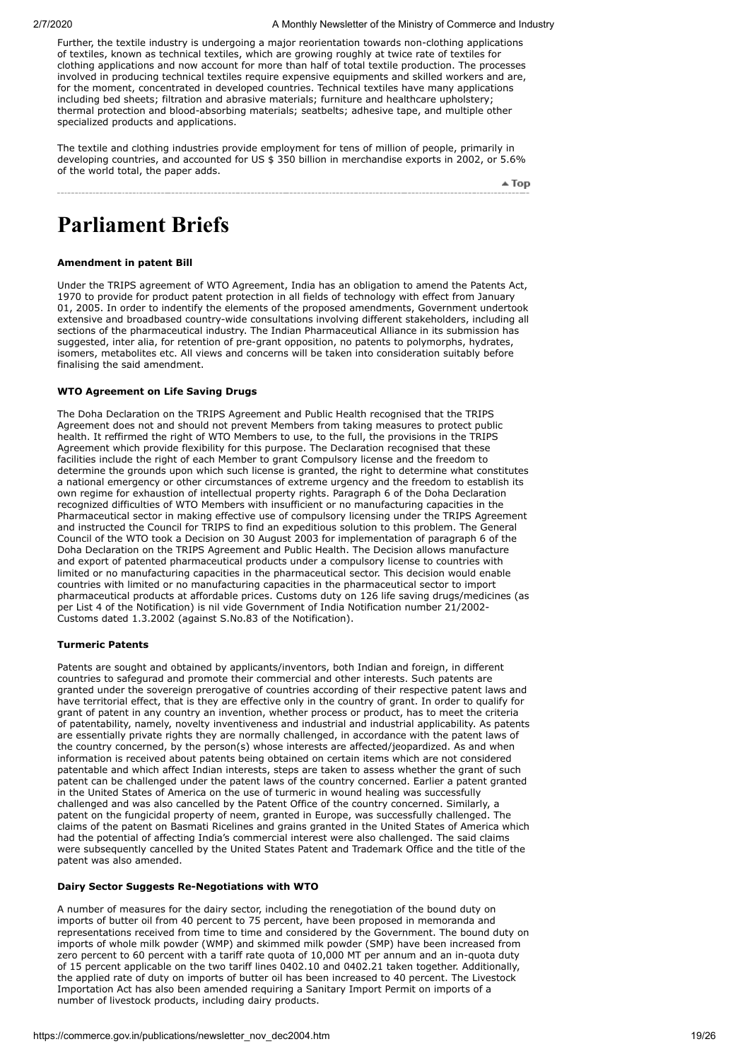Further, the textile industry is undergoing a major reorientation towards non-clothing applications of textiles, known as technical textiles, which are growing roughly at twice rate of textiles for clothing applications and now account for more than half of total textile production. The processes involved in producing technical textiles require expensive equipments and skilled workers and are, for the moment, concentrated in developed countries. Technical textiles have many applications including bed sheets; filtration and abrasive materials; furniture and healthcare upholstery; thermal protection and blood-absorbing materials; seatbelts; adhesive tape, and multiple other specialized products and applications.

The textile and clothing industries provide employment for tens of million of people, primarily in developing countries, and accounted for US \$ 350 billion in merchandise exports in 2002, or 5.6% of the world total, the paper adds.

 $\triangle$  Top

## <span id="page-18-0"></span>**Parliament Briefs**

## **Amendment in patent Bill**

Under the TRIPS agreement of WTO Agreement, India has an obligation to amend the Patents Act, 1970 to provide for product patent protection in all fields of technology with effect from January 01, 2005. In order to indentify the elements of the proposed amendments, Government undertook extensive and broadbased country-wide consultations involving different stakeholders, including all sections of the pharmaceutical industry. The Indian Pharmaceutical Alliance in its submission has suggested, inter alia, for retention of pre-grant opposition, no patents to polymorphs, hydrates, isomers, metabolites etc. All views and concerns will be taken into consideration suitably before finalising the said amendment.

#### **WTO Agreement on Life Saving Drugs**

The Doha Declaration on the TRIPS Agreement and Public Health recognised that the TRIPS Agreement does not and should not prevent Members from taking measures to protect public health. It reffirmed the right of WTO Members to use, to the full, the provisions in the TRIPS Agreement which provide flexibility for this purpose. The Declaration recognised that these facilities include the right of each Member to grant Compulsory license and the freedom to determine the grounds upon which such license is granted, the right to determine what constitutes a national emergency or other circumstances of extreme urgency and the freedom to establish its own regime for exhaustion of intellectual property rights. Paragraph 6 of the Doha Declaration recognized difficulties of WTO Members with insufficient or no manufacturing capacities in the Pharmaceutical sector in making effective use of compulsory licensing under the TRIPS Agreement and instructed the Council for TRIPS to find an expeditious solution to this problem. The General Council of the WTO took a Decision on 30 August 2003 for implementation of paragraph 6 of the Doha Declaration on the TRIPS Agreement and Public Health. The Decision allows manufacture and export of patented pharmaceutical products under a compulsory license to countries with limited or no manufacturing capacities in the pharmaceutical sector. This decision would enable countries with limited or no manufacturing capacities in the pharmaceutical sector to import pharmaceutical products at affordable prices. Customs duty on 126 life saving drugs/medicines (as per List 4 of the Notification) is nil vide Government of India Notification number 21/2002- Customs dated 1.3.2002 (against S.No.83 of the Notification).

## **Turmeric Patents**

Patents are sought and obtained by applicants/inventors, both Indian and foreign, in different countries to safegurad and promote their commercial and other interests. Such patents are granted under the sovereign prerogative of countries according of their respective patent laws and have territorial effect, that is they are effective only in the country of grant. In order to qualify for grant of patent in any country an invention, whether process or product, has to meet the criteria of patentability, namely, novelty inventiveness and industrial and industrial applicability. As patents are essentially private rights they are normally challenged, in accordance with the patent laws of the country concerned, by the person(s) whose interests are affected/jeopardized. As and when information is received about patents being obtained on certain items which are not considered patentable and which affect Indian interests, steps are taken to assess whether the grant of such patent can be challenged under the patent laws of the country concerned. Earlier a patent granted in the United States of America on the use of turmeric in wound healing was successfully challenged and was also cancelled by the Patent Office of the country concerned. Similarly, a patent on the fungicidal property of neem, granted in Europe, was successfully challenged. The claims of the patent on Basmati Ricelines and grains granted in the United States of America which had the potential of affecting India's commercial interest were also challenged. The said claims were subsequently cancelled by the United States Patent and Trademark Office and the title of the patent was also amended.

#### **Dairy Sector Suggests Re-Negotiations with WTO**

A number of measures for the dairy sector, including the renegotiation of the bound duty on imports of butter oil from 40 percent to 75 percent, have been proposed in memoranda and representations received from time to time and considered by the Government. The bound duty on imports of whole milk powder (WMP) and skimmed milk powder (SMP) have been increased from zero percent to 60 percent with a tariff rate quota of 10,000 MT per annum and an in-quota duty of 15 percent applicable on the two tariff lines 0402.10 and 0402.21 taken together. Additionally, the applied rate of duty on imports of butter oil has been increased to 40 percent. The Livestock Importation Act has also been amended requiring a Sanitary Import Permit on imports of a number of livestock products, including dairy products.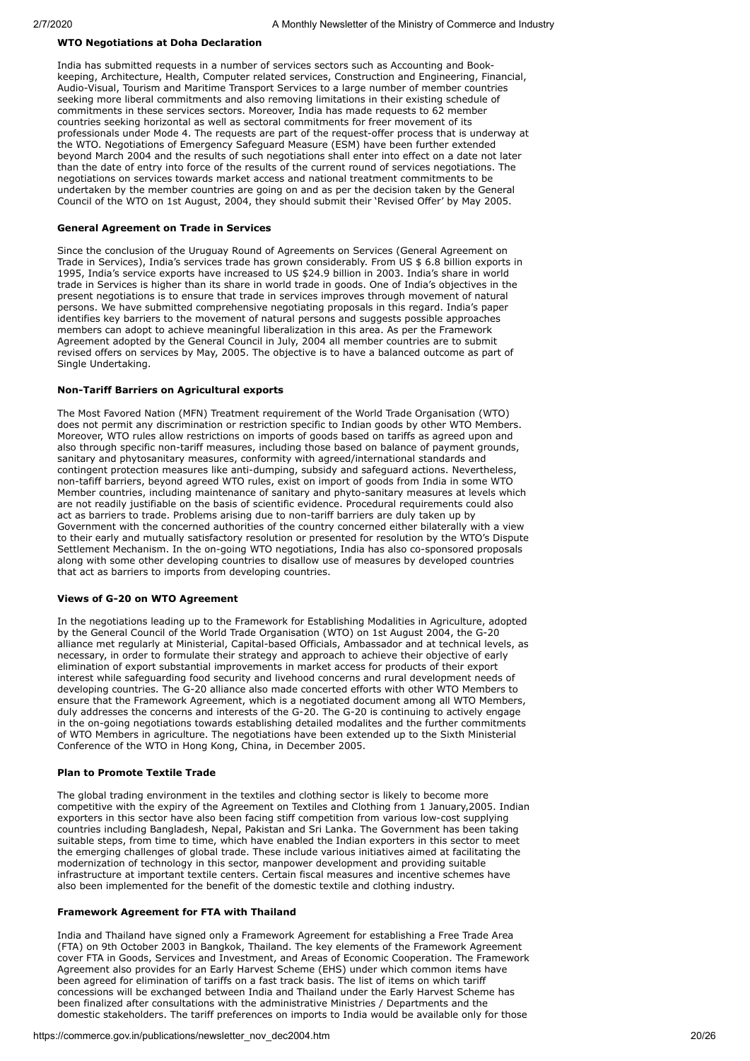## **WTO Negotiations at Doha Declaration**

India has submitted requests in a number of services sectors such as Accounting and Bookkeeping, Architecture, Health, Computer related services, Construction and Engineering, Financial, Audio-Visual, Tourism and Maritime Transport Services to a large number of member countries seeking more liberal commitments and also removing limitations in their existing schedule of commitments in these services sectors. Moreover, India has made requests to 62 member countries seeking horizontal as well as sectoral commitments for freer movement of its professionals under Mode 4. The requests are part of the request-offer process that is underway at the WTO. Negotiations of Emergency Safeguard Measure (ESM) have been further extended beyond March 2004 and the results of such negotiations shall enter into effect on a date not later than the date of entry into force of the results of the current round of services negotiations. The negotiations on services towards market access and national treatment commitments to be undertaken by the member countries are going on and as per the decision taken by the General Council of the WTO on 1st August, 2004, they should submit their 'Revised Offer' by May 2005.

#### **General Agreement on Trade in Services**

Since the conclusion of the Uruguay Round of Agreements on Services (General Agreement on Trade in Services), India's services trade has grown considerably. From US \$ 6.8 billion exports in 1995, India's service exports have increased to US \$24.9 billion in 2003. India's share in world trade in Services is higher than its share in world trade in goods. One of India's objectives in the present negotiations is to ensure that trade in services improves through movement of natural persons. We have submitted comprehensive negotiating proposals in this regard. India's paper identifies key barriers to the movement of natural persons and suggests possible approaches members can adopt to achieve meaningful liberalization in this area. As per the Framework Agreement adopted by the General Council in July, 2004 all member countries are to submit revised offers on services by May, 2005. The objective is to have a balanced outcome as part of Single Undertaking.

#### **Non-Tariff Barriers on Agricultural exports**

The Most Favored Nation (MFN) Treatment requirement of the World Trade Organisation (WTO) does not permit any discrimination or restriction specific to Indian goods by other WTO Members. Moreover, WTO rules allow restrictions on imports of goods based on tariffs as agreed upon and also through specific non-tariff measures, including those based on balance of payment grounds, sanitary and phytosanitary measures, conformity with agreed/international standards and contingent protection measures like anti-dumping, subsidy and safeguard actions. Nevertheless, non-tafiff barriers, beyond agreed WTO rules, exist on import of goods from India in some WTO Member countries, including maintenance of sanitary and phyto-sanitary measures at levels which are not readily justifiable on the basis of scientific evidence. Procedural requirements could also act as barriers to trade. Problems arising due to non-tariff barriers are duly taken up by Government with the concerned authorities of the country concerned either bilaterally with a view to their early and mutually satisfactory resolution or presented for resolution by the WTO's Dispute Settlement Mechanism. In the on-going WTO negotiations, India has also co-sponsored proposals along with some other developing countries to disallow use of measures by developed countries that act as barriers to imports from developing countries.

## **Views of G-20 on WTO Agreement**

In the negotiations leading up to the Framework for Establishing Modalities in Agriculture, adopted by the General Council of the World Trade Organisation (WTO) on 1st August 2004, the G-20 alliance met regularly at Ministerial, Capital-based Officials, Ambassador and at technical levels, as necessary, in order to formulate their strategy and approach to achieve their objective of early elimination of export substantial improvements in market access for products of their export interest while safeguarding food security and livehood concerns and rural development needs of developing countries. The G-20 alliance also made concerted efforts with other WTO Members to ensure that the Framework Agreement, which is a negotiated document among all WTO Members, duly addresses the concerns and interests of the G-20. The G-20 is continuing to actively engage in the on-going negotiations towards establishing detailed modalites and the further commitments of WTO Members in agriculture. The negotiations have been extended up to the Sixth Ministerial Conference of the WTO in Hong Kong, China, in December 2005.

#### **Plan to Promote Textile Trade**

The global trading environment in the textiles and clothing sector is likely to become more competitive with the expiry of the Agreement on Textiles and Clothing from 1 January,2005. Indian exporters in this sector have also been facing stiff competition from various low-cost supplying countries including Bangladesh, Nepal, Pakistan and Sri Lanka. The Government has been taking suitable steps, from time to time, which have enabled the Indian exporters in this sector to meet the emerging challenges of global trade. These include various initiatives aimed at facilitating the modernization of technology in this sector, manpower development and providing suitable infrastructure at important textile centers. Certain fiscal measures and incentive schemes have also been implemented for the benefit of the domestic textile and clothing industry.

#### **Framework Agreement for FTA with Thailand**

India and Thailand have signed only a Framework Agreement for establishing a Free Trade Area (FTA) on 9th October 2003 in Bangkok, Thailand. The key elements of the Framework Agreement cover FTA in Goods, Services and Investment, and Areas of Economic Cooperation. The Framework Agreement also provides for an Early Harvest Scheme (EHS) under which common items have been agreed for elimination of tariffs on a fast track basis. The list of items on which tariff concessions will be exchanged between India and Thailand under the Early Harvest Scheme has been finalized after consultations with the administrative Ministries / Departments and the domestic stakeholders. The tariff preferences on imports to India would be available only for those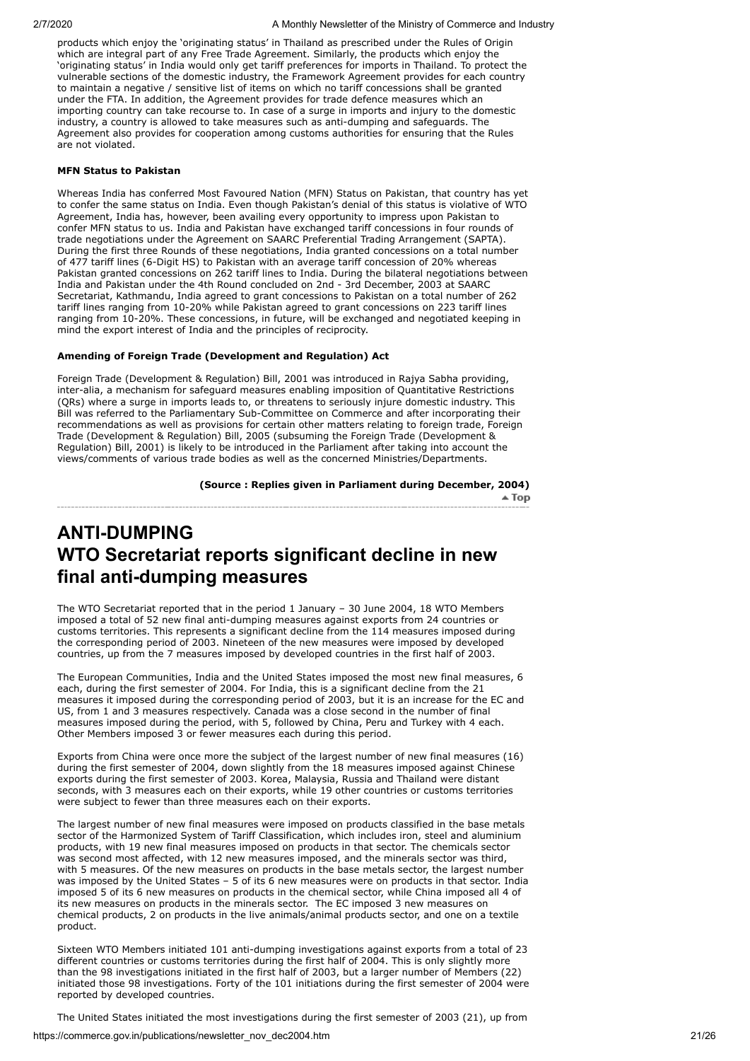products which enjoy the 'originating status' in Thailand as prescribed under the Rules of Origin which are integral part of any Free Trade Agreement. Similarly, the products which enjoy the 'originating status' in India would only get tariff preferences for imports in Thailand. To protect the vulnerable sections of the domestic industry, the Framework Agreement provides for each country to maintain a negative / sensitive list of items on which no tariff concessions shall be granted under the FTA. In addition, the Agreement provides for trade defence measures which an importing country can take recourse to. In case of a surge in imports and injury to the domestic industry, a country is allowed to take measures such as anti-dumping and safeguards. The Agreement also provides for cooperation among customs authorities for ensuring that the Rules are not violated.

#### **MFN Status to Pakistan**

Whereas India has conferred Most Favoured Nation (MFN) Status on Pakistan, that country has yet to confer the same status on India. Even though Pakistan's denial of this status is violative of WTO Agreement, India has, however, been availing every opportunity to impress upon Pakistan to confer MFN status to us. India and Pakistan have exchanged tariff concessions in four rounds of trade negotiations under the Agreement on SAARC Preferential Trading Arrangement (SAPTA). During the first three Rounds of these negotiations, India granted concessions on a total number of 477 tariff lines (6-Digit HS) to Pakistan with an average tariff concession of 20% whereas Pakistan granted concessions on 262 tariff lines to India. During the bilateral negotiations between India and Pakistan under the 4th Round concluded on 2nd - 3rd December, 2003 at SAARC Secretariat, Kathmandu, India agreed to grant concessions to Pakistan on a total number of 262 tariff lines ranging from 10-20% while Pakistan agreed to grant concessions on 223 tariff lines ranging from 10-20%. These concessions, in future, will be exchanged and negotiated keeping in mind the export interest of India and the principles of reciprocity.

## **Amending of Foreign Trade (Development and Regulation) Act**

Foreign Trade (Development & Regulation) Bill, 2001 was introduced in Rajya Sabha providing, inter-alia, a mechanism for safeguard measures enabling imposition of Quantitative Restrictions (QRs) where a surge in imports leads to, or threatens to seriously injure domestic industry. This Bill was referred to the Parliamentary Sub-Committee on Commerce and after incorporating their recommendations as well as provisions for certain other matters relating to foreign trade, Foreign Trade (Development & Regulation) Bill, 2005 (subsuming the Foreign Trade (Development & Regulation) Bill, 2001) is likely to be introduced in the Parliament after taking into account the views/comments of various trade bodies as well as the concerned Ministries/Departments.

**(Source : Replies given in Parliament during December, 2004)**

 $\triangle$  Top

## <span id="page-20-0"></span>**ANTI-DUMPING WTO Secretariat reports significant decline in new final anti-dumping measures**

The WTO Secretariat reported that in the period 1 January – 30 June 2004, 18 WTO Members imposed a total of 52 new final anti-dumping measures against exports from 24 countries or customs territories. This represents a significant decline from the 114 measures imposed during the corresponding period of 2003. Nineteen of the new measures were imposed by developed countries, up from the 7 measures imposed by developed countries in the first half of 2003.

The European Communities, India and the United States imposed the most new final measures, 6 each, during the first semester of 2004. For India, this is a significant decline from the 21 measures it imposed during the corresponding period of 2003, but it is an increase for the EC and US, from 1 and 3 measures respectively. Canada was a close second in the number of final measures imposed during the period, with 5, followed by China, Peru and Turkey with 4 each. Other Members imposed 3 or fewer measures each during this period.

Exports from China were once more the subject of the largest number of new final measures (16) during the first semester of 2004, down slightly from the 18 measures imposed against Chinese exports during the first semester of 2003. Korea, Malaysia, Russia and Thailand were distant seconds, with 3 measures each on their exports, while 19 other countries or customs territories were subject to fewer than three measures each on their exports.

The largest number of new final measures were imposed on products classified in the base metals sector of the Harmonized System of Tariff Classification, which includes iron, steel and aluminium products, with 19 new final measures imposed on products in that sector. The chemicals sector was second most affected, with 12 new measures imposed, and the minerals sector was third, with 5 measures. Of the new measures on products in the base metals sector, the largest number was imposed by the United States – 5 of its 6 new measures were on products in that sector. India imposed 5 of its 6 new measures on products in the chemical sector, while China imposed all 4 of its new measures on products in the minerals sector. The EC imposed 3 new measures on chemical products, 2 on products in the live animals/animal products sector, and one on a textile product.

Sixteen WTO Members initiated 101 anti-dumping investigations against exports from a total of 23 different countries or customs territories during the first half of 2004. This is only slightly more than the 98 investigations initiated in the first half of 2003, but a larger number of Members (22) initiated those 98 investigations. Forty of the 101 initiations during the first semester of 2004 were reported by developed countries.

The United States initiated the most investigations during the first semester of 2003 (21), up from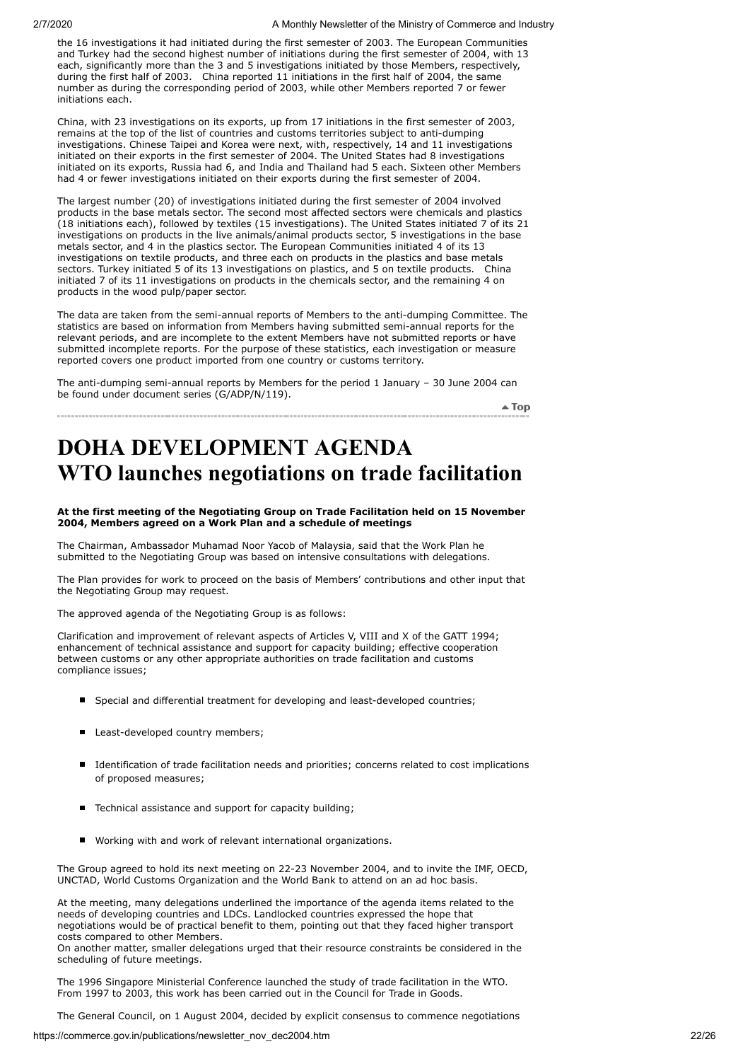the 16 investigations it had initiated during the first semester of 2003. The European Communities and Turkey had the second highest number of initiations during the first semester of 2004, with 13 each, significantly more than the 3 and 5 investigations initiated by those Members, respectively, during the first half of 2003. China reported 11 initiations in the first half of 2004, the same number as during the corresponding period of 2003, while other Members reported 7 or fewer initiations each.

China, with 23 investigations on its exports, up from 17 initiations in the first semester of 2003, remains at the top of the list of countries and customs territories subject to anti-dumping investigations. Chinese Taipei and Korea were next, with, respectively, 14 and 11 investigations initiated on their exports in the first semester of 2004. The United States had 8 investigations initiated on its exports, Russia had 6, and India and Thailand had 5 each. Sixteen other Members had 4 or fewer investigations initiated on their exports during the first semester of 2004.

The largest number (20) of investigations initiated during the first semester of 2004 involved products in the base metals sector. The second most affected sectors were chemicals and plastics (18 initiations each), followed by textiles (15 investigations). The United States initiated 7 of its 21 investigations on products in the live animals/animal products sector, 5 investigations in the base metals sector, and 4 in the plastics sector. The European Communities initiated 4 of its 13 investigations on textile products, and three each on products in the plastics and base metals sectors. Turkey initiated 5 of its 13 investigations on plastics, and 5 on textile products. China initiated 7 of its 11 investigations on products in the chemicals sector, and the remaining 4 on products in the wood pulp/paper sector.

The data are taken from the semi-annual reports of Members to the anti-dumping Committee. The statistics are based on information from Members having submitted semi-annual reports for the relevant periods, and are incomplete to the extent Members have not submitted reports or have submitted incomplete reports. For the purpose of these statistics, each investigation or measure reported covers one product imported from one country or customs territory.

The anti-dumping semi-annual reports by Members for the period 1 January – 30 June 2004 can be found under document series (G/ADP/N/119).

 $\triangle$  Top

# <span id="page-21-0"></span>**DOHA DEVELOPMENT AGENDA WTO launches negotiations on trade facilitation**

## **At the first meeting of the Negotiating Group on Trade Facilitation held on 15 November 2004, Members agreed on a Work Plan and a schedule of meetings**

The Chairman, Ambassador Muhamad Noor Yacob of Malaysia, said that the Work Plan he submitted to the Negotiating Group was based on intensive consultations with delegations.

The Plan provides for work to proceed on the basis of Members' contributions and other input that the Negotiating Group may request.

The approved agenda of the Negotiating Group is as follows:

Clarification and improvement of relevant aspects of Articles V, VIII and X of the GATT 1994; enhancement of technical assistance and support for capacity building; effective cooperation between customs or any other appropriate authorities on trade facilitation and customs compliance issues;

- Special and differential treatment for developing and least-developed countries;
- Least-developed country members;
- Identification of trade facilitation needs and priorities; concerns related to cost implications of proposed measures;
- Technical assistance and support for capacity building;
- Working with and work of relevant international organizations.

The Group agreed to hold its next meeting on 22-23 November 2004, and to invite the IMF, OECD, UNCTAD, World Customs Organization and the World Bank to attend on an ad hoc basis.

At the meeting, many delegations underlined the importance of the agenda items related to the needs of developing countries and LDCs. Landlocked countries expressed the hope that negotiations would be of practical benefit to them, pointing out that they faced higher transport costs compared to other Members.

On another matter, smaller delegations urged that their resource constraints be considered in the scheduling of future meetings.

The 1996 Singapore Ministerial Conference launched the study of trade facilitation in the WTO. From 1997 to 2003, this work has been carried out in the Council for Trade in Goods.

The General Council, on 1 August 2004, decided by explicit consensus to commence negotiations

https://commerce.gov.in/publications/newsletter\_nov\_dec2004.htm 22/26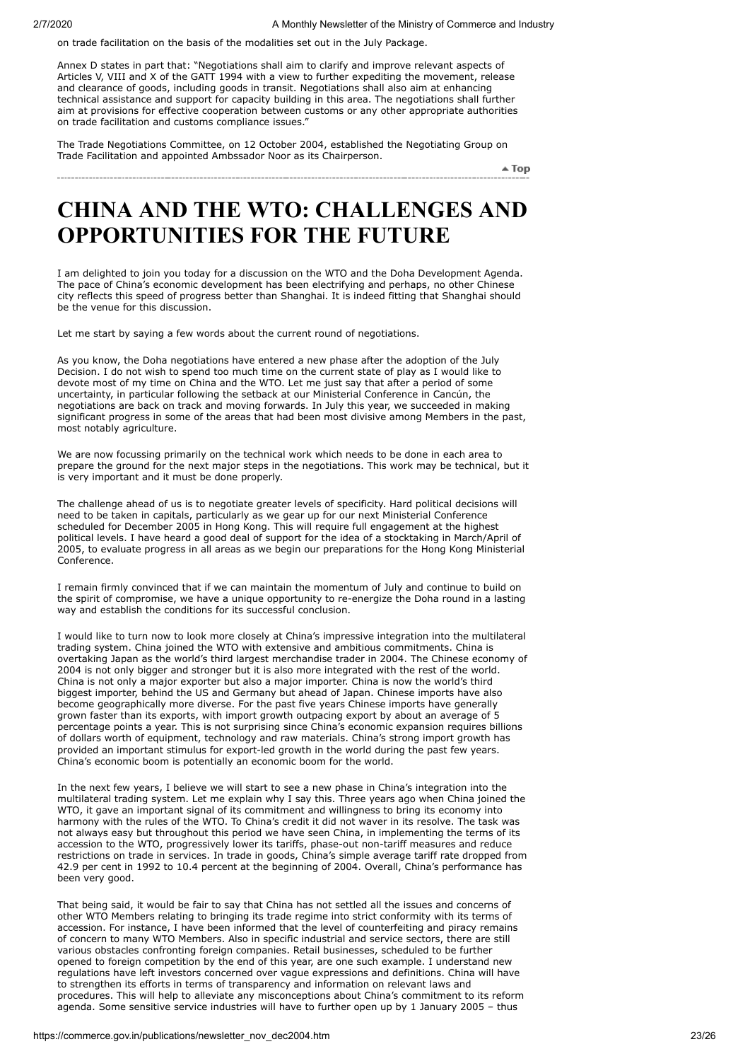on trade facilitation on the basis of the modalities set out in the July Package.

Annex D states in part that: "Negotiations shall aim to clarify and improve relevant aspects of Articles V, VIII and X of the GATT 1994 with a view to further expediting the movement, release and clearance of goods, including goods in transit. Negotiations shall also aim at enhancing technical assistance and support for capacity building in this area. The negotiations shall further aim at provisions for effective cooperation between customs or any other appropriate authorities on trade facilitation and customs compliance issues."

The Trade Negotiations Committee, on 12 October 2004, established the Negotiating Group on Trade Facilitation and appointed Ambssador Noor as its Chairperson.

 $\triangle$  Top

## <span id="page-22-0"></span>**CHINA AND THE WTO: CHALLENGES AND OPPORTUNITIES FOR THE FUTURE**

I am delighted to join you today for a discussion on the WTO and the Doha Development Agenda. The pace of China's economic development has been electrifying and perhaps, no other Chinese city reflects this speed of progress better than Shanghai. It is indeed fitting that Shanghai should be the venue for this discussion.

Let me start by saying a few words about the current round of negotiations.

As you know, the Doha negotiations have entered a new phase after the adoption of the July Decision. I do not wish to spend too much time on the current state of play as I would like to devote most of my time on China and the WTO. Let me just say that after a period of some uncertainty, in particular following the setback at our Ministerial Conference in Cancún, the negotiations are back on track and moving forwards. In July this year, we succeeded in making significant progress in some of the areas that had been most divisive among Members in the past, most notably agriculture.

We are now focussing primarily on the technical work which needs to be done in each area to prepare the ground for the next major steps in the negotiations. This work may be technical, but it is very important and it must be done properly.

The challenge ahead of us is to negotiate greater levels of specificity. Hard political decisions will need to be taken in capitals, particularly as we gear up for our next Ministerial Conference scheduled for December 2005 in Hong Kong. This will require full engagement at the highest political levels. I have heard a good deal of support for the idea of a stocktaking in March/April of 2005, to evaluate progress in all areas as we begin our preparations for the Hong Kong Ministerial Conference.

I remain firmly convinced that if we can maintain the momentum of July and continue to build on the spirit of compromise, we have a unique opportunity to re-energize the Doha round in a lasting way and establish the conditions for its successful conclusion.

I would like to turn now to look more closely at China's impressive integration into the multilateral trading system. China joined the WTO with extensive and ambitious commitments. China is overtaking Japan as the world's third largest merchandise trader in 2004. The Chinese economy of 2004 is not only bigger and stronger but it is also more integrated with the rest of the world. China is not only a major exporter but also a major importer. China is now the world's third biggest importer, behind the US and Germany but ahead of Japan. Chinese imports have also become geographically more diverse. For the past five years Chinese imports have generally grown faster than its exports, with import growth outpacing export by about an average of 5 percentage points a year. This is not surprising since China's economic expansion requires billions of dollars worth of equipment, technology and raw materials. China's strong import growth has provided an important stimulus for export-led growth in the world during the past few years. China's economic boom is potentially an economic boom for the world.

In the next few years, I believe we will start to see a new phase in China's integration into the multilateral trading system. Let me explain why I say this. Three years ago when China joined the WTO, it gave an important signal of its commitment and willingness to bring its economy into harmony with the rules of the WTO. To China's credit it did not waver in its resolve. The task was not always easy but throughout this period we have seen China, in implementing the terms of its accession to the WTO, progressively lower its tariffs, phase-out non-tariff measures and reduce restrictions on trade in services. In trade in goods, China's simple average tariff rate dropped from 42.9 per cent in 1992 to 10.4 percent at the beginning of 2004. Overall, China's performance has been very good.

That being said, it would be fair to say that China has not settled all the issues and concerns of other WTO Members relating to bringing its trade regime into strict conformity with its terms of accession. For instance, I have been informed that the level of counterfeiting and piracy remains of concern to many WTO Members. Also in specific industrial and service sectors, there are still various obstacles confronting foreign companies. Retail businesses, scheduled to be further opened to foreign competition by the end of this year, are one such example. I understand new regulations have left investors concerned over vague expressions and definitions. China will have to strengthen its efforts in terms of transparency and information on relevant laws and procedures. This will help to alleviate any misconceptions about China's commitment to its reform agenda. Some sensitive service industries will have to further open up by 1 January 2005 – thus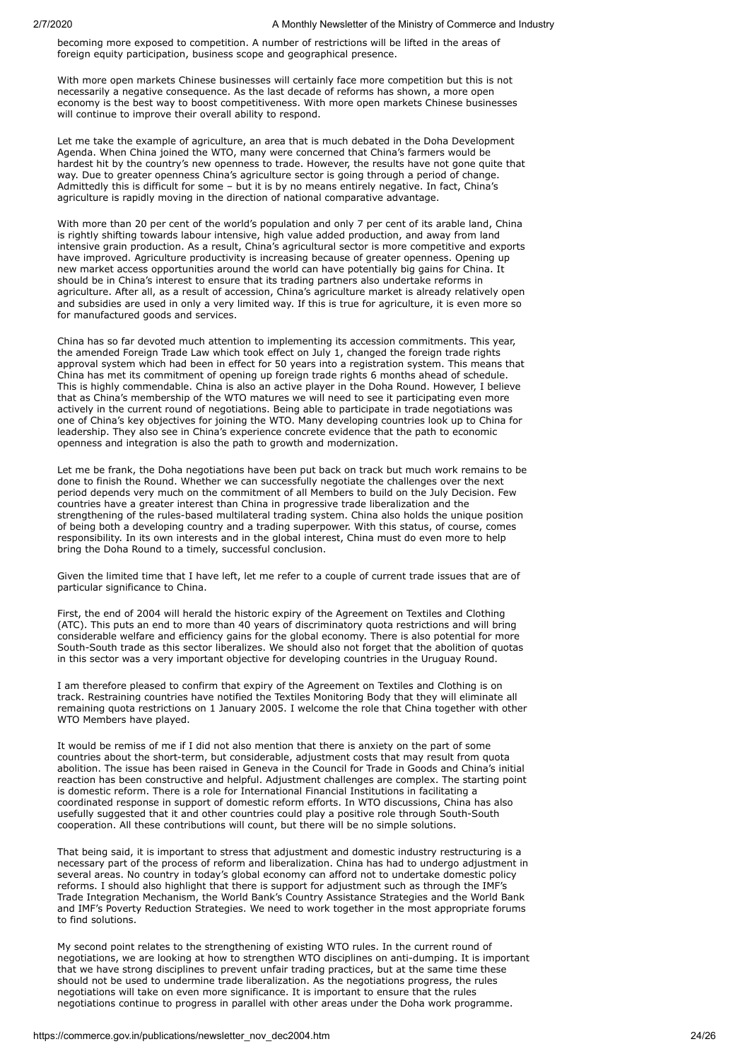becoming more exposed to competition. A number of restrictions will be lifted in the areas of foreign equity participation, business scope and geographical presence.

With more open markets Chinese businesses will certainly face more competition but this is not necessarily a negative consequence. As the last decade of reforms has shown, a more open economy is the best way to boost competitiveness. With more open markets Chinese businesses will continue to improve their overall ability to respond.

Let me take the example of agriculture, an area that is much debated in the Doha Development Agenda. When China joined the WTO, many were concerned that China's farmers would be hardest hit by the country's new openness to trade. However, the results have not gone quite that way. Due to greater openness China's agriculture sector is going through a period of change. Admittedly this is difficult for some – but it is by no means entirely negative. In fact, China's agriculture is rapidly moving in the direction of national comparative advantage.

With more than 20 per cent of the world's population and only 7 per cent of its arable land, China is rightly shifting towards labour intensive, high value added production, and away from land intensive grain production. As a result, China's agricultural sector is more competitive and exports have improved. Agriculture productivity is increasing because of greater openness. Opening up new market access opportunities around the world can have potentially big gains for China. It should be in China's interest to ensure that its trading partners also undertake reforms in agriculture. After all, as a result of accession, China's agriculture market is already relatively open and subsidies are used in only a very limited way. If this is true for agriculture, it is even more so for manufactured goods and services.

China has so far devoted much attention to implementing its accession commitments. This year, the amended Foreign Trade Law which took effect on July 1, changed the foreign trade rights approval system which had been in effect for 50 years into a registration system. This means that China has met its commitment of opening up foreign trade rights 6 months ahead of schedule. This is highly commendable. China is also an active player in the Doha Round. However, I believe that as China's membership of the WTO matures we will need to see it participating even more actively in the current round of negotiations. Being able to participate in trade negotiations was one of China's key objectives for joining the WTO. Many developing countries look up to China for leadership. They also see in China's experience concrete evidence that the path to economic openness and integration is also the path to growth and modernization.

Let me be frank, the Doha negotiations have been put back on track but much work remains to be done to finish the Round. Whether we can successfully negotiate the challenges over the next period depends very much on the commitment of all Members to build on the July Decision. Few countries have a greater interest than China in progressive trade liberalization and the strengthening of the rules-based multilateral trading system. China also holds the unique position of being both a developing country and a trading superpower. With this status, of course, comes responsibility. In its own interests and in the global interest, China must do even more to help bring the Doha Round to a timely, successful conclusion.

Given the limited time that I have left, let me refer to a couple of current trade issues that are of particular significance to China.

First, the end of 2004 will herald the historic expiry of the Agreement on Textiles and Clothing (ATC). This puts an end to more than 40 years of discriminatory quota restrictions and will bring considerable welfare and efficiency gains for the global economy. There is also potential for more South-South trade as this sector liberalizes. We should also not forget that the abolition of quotas in this sector was a very important objective for developing countries in the Uruguay Round.

I am therefore pleased to confirm that expiry of the Agreement on Textiles and Clothing is on track. Restraining countries have notified the Textiles Monitoring Body that they will eliminate all remaining quota restrictions on 1 January 2005. I welcome the role that China together with other WTO Members have played.

It would be remiss of me if I did not also mention that there is anxiety on the part of some countries about the short-term, but considerable, adjustment costs that may result from quota abolition. The issue has been raised in Geneva in the Council for Trade in Goods and China's initial reaction has been constructive and helpful. Adjustment challenges are complex. The starting point is domestic reform. There is a role for International Financial Institutions in facilitating a coordinated response in support of domestic reform efforts. In WTO discussions, China has also usefully suggested that it and other countries could play a positive role through South-South cooperation. All these contributions will count, but there will be no simple solutions.

That being said, it is important to stress that adjustment and domestic industry restructuring is a necessary part of the process of reform and liberalization. China has had to undergo adjustment in several areas. No country in today's global economy can afford not to undertake domestic policy reforms. I should also highlight that there is support for adjustment such as through the IMF's Trade Integration Mechanism, the World Bank's Country Assistance Strategies and the World Bank and IMF's Poverty Reduction Strategies. We need to work together in the most appropriate forums to find solutions.

My second point relates to the strengthening of existing WTO rules. In the current round of negotiations, we are looking at how to strengthen WTO disciplines on anti-dumping. It is important that we have strong disciplines to prevent unfair trading practices, but at the same time these should not be used to undermine trade liberalization. As the negotiations progress, the rules negotiations will take on even more significance. It is important to ensure that the rules negotiations continue to progress in parallel with other areas under the Doha work programme.